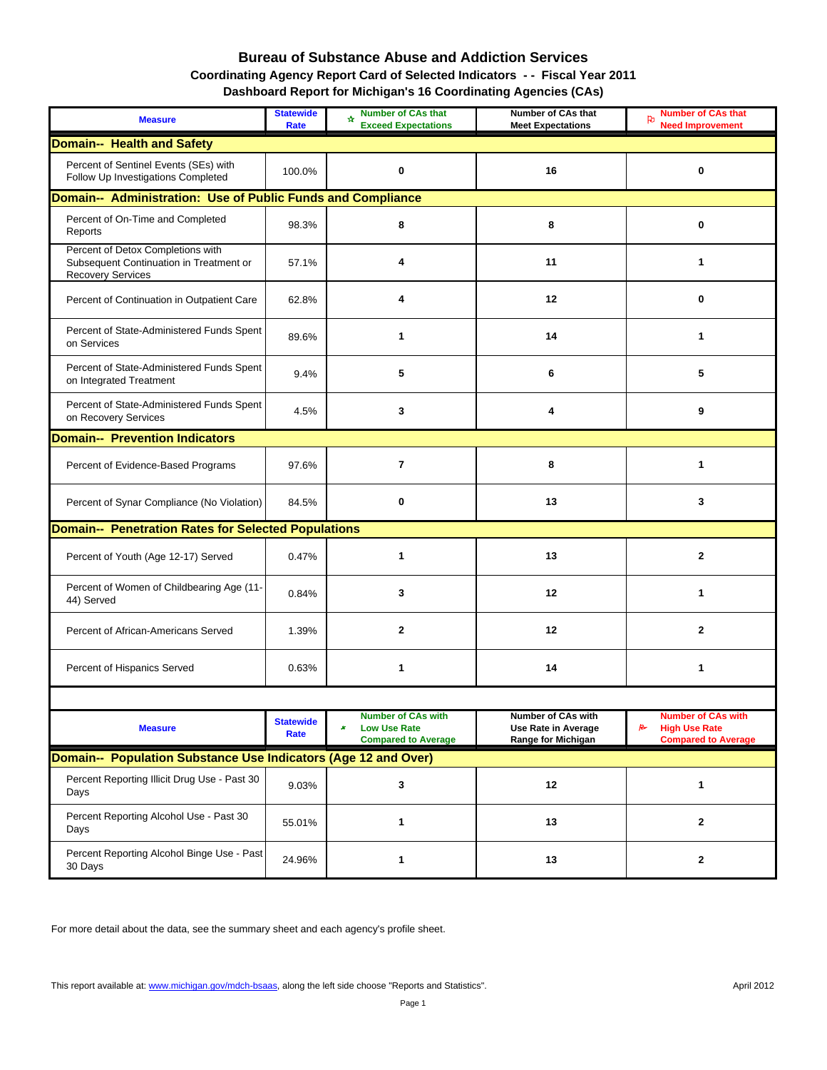#### **Bureau of Substance Abuse and Addiction Services Coordinating Agency Report Card of Selected Indicators - - Fiscal Year 2011 Dashboard Report for Michigan's 16 Coordinating Agencies (CAs)**

| <b>Measure</b>                                                                                           | <b>Statewide</b><br>Rate | <b>Number of CAs that</b><br>÷.<br><b>Exceed Expectations</b>                       | Number of CAs that<br><b>Meet Expectations</b>                  | <b>Number of CAs that</b><br><b>Need Improvement</b>                                 |
|----------------------------------------------------------------------------------------------------------|--------------------------|-------------------------------------------------------------------------------------|-----------------------------------------------------------------|--------------------------------------------------------------------------------------|
| <b>Domain-- Health and Safety</b>                                                                        |                          |                                                                                     |                                                                 |                                                                                      |
| Percent of Sentinel Events (SEs) with<br>Follow Up Investigations Completed                              | 100.0%                   | $\mathbf 0$                                                                         | 16                                                              | 0                                                                                    |
| Domain-- Administration: Use of Public Funds and Compliance                                              |                          |                                                                                     |                                                                 |                                                                                      |
| Percent of On-Time and Completed<br>Reports                                                              | 98.3%                    | 8                                                                                   | 8                                                               | 0                                                                                    |
| Percent of Detox Completions with<br>Subsequent Continuation in Treatment or<br><b>Recovery Services</b> | 57.1%                    | 4                                                                                   | 11                                                              | $\mathbf{1}$                                                                         |
| Percent of Continuation in Outpatient Care                                                               | 62.8%                    | 4                                                                                   | 12                                                              | 0                                                                                    |
| Percent of State-Administered Funds Spent<br>on Services                                                 | 89.6%                    | 1                                                                                   | 14                                                              | 1                                                                                    |
| Percent of State-Administered Funds Spent<br>on Integrated Treatment                                     | 9.4%                     | 5                                                                                   | 6                                                               | 5                                                                                    |
| Percent of State-Administered Funds Spent<br>on Recovery Services                                        | 4.5%                     | 3                                                                                   | 4                                                               | 9                                                                                    |
| <b>Domain-- Prevention Indicators</b>                                                                    |                          |                                                                                     |                                                                 |                                                                                      |
| Percent of Evidence-Based Programs                                                                       | 97.6%                    | $\overline{7}$                                                                      | 8                                                               | 1                                                                                    |
| Percent of Synar Compliance (No Violation)                                                               | 84.5%                    | 0                                                                                   | 13                                                              | 3                                                                                    |
| <b>Domain-- Penetration Rates for Selected Populations</b>                                               |                          |                                                                                     |                                                                 |                                                                                      |
| Percent of Youth (Age 12-17) Served                                                                      | 0.47%                    | 1                                                                                   | 13                                                              | $\mathbf{2}$                                                                         |
| Percent of Women of Childbearing Age (11-<br>44) Served                                                  | 0.84%                    | 3                                                                                   | 12                                                              | 1                                                                                    |
| Percent of African-Americans Served                                                                      | 1.39%                    | $\mathbf{2}$                                                                        | 12                                                              | $\mathbf{2}$                                                                         |
| Percent of Hispanics Served                                                                              | 0.63%                    | 1                                                                                   | 14                                                              | 1                                                                                    |
|                                                                                                          |                          |                                                                                     |                                                                 |                                                                                      |
| <b>Measure</b>                                                                                           | <b>Statewide</b><br>Rate | <b>Number of CAs with</b><br><b>Low Use Rate</b><br>×<br><b>Compared to Average</b> | Number of CAs with<br>Use Rate in Average<br>Range for Michigan | <b>Number of CAs with</b><br>R<br><b>High Use Rate</b><br><b>Compared to Average</b> |
| Domain-- Population Substance Use Indicators (Age 12 and Over)                                           |                          |                                                                                     |                                                                 |                                                                                      |
| Percent Reporting Illicit Drug Use - Past 30<br>Days                                                     | 9.03%                    | 3                                                                                   | 12                                                              | 1                                                                                    |
| Percent Reporting Alcohol Use - Past 30<br>Days                                                          | 55.01%                   | $\mathbf{1}$                                                                        | 13                                                              | 2                                                                                    |
| Percent Reporting Alcohol Binge Use - Past<br>30 Days                                                    | 24.96%                   | 1                                                                                   | 13                                                              | 2                                                                                    |

For more detail about the data, see the summary sheet and each agency's profile sheet.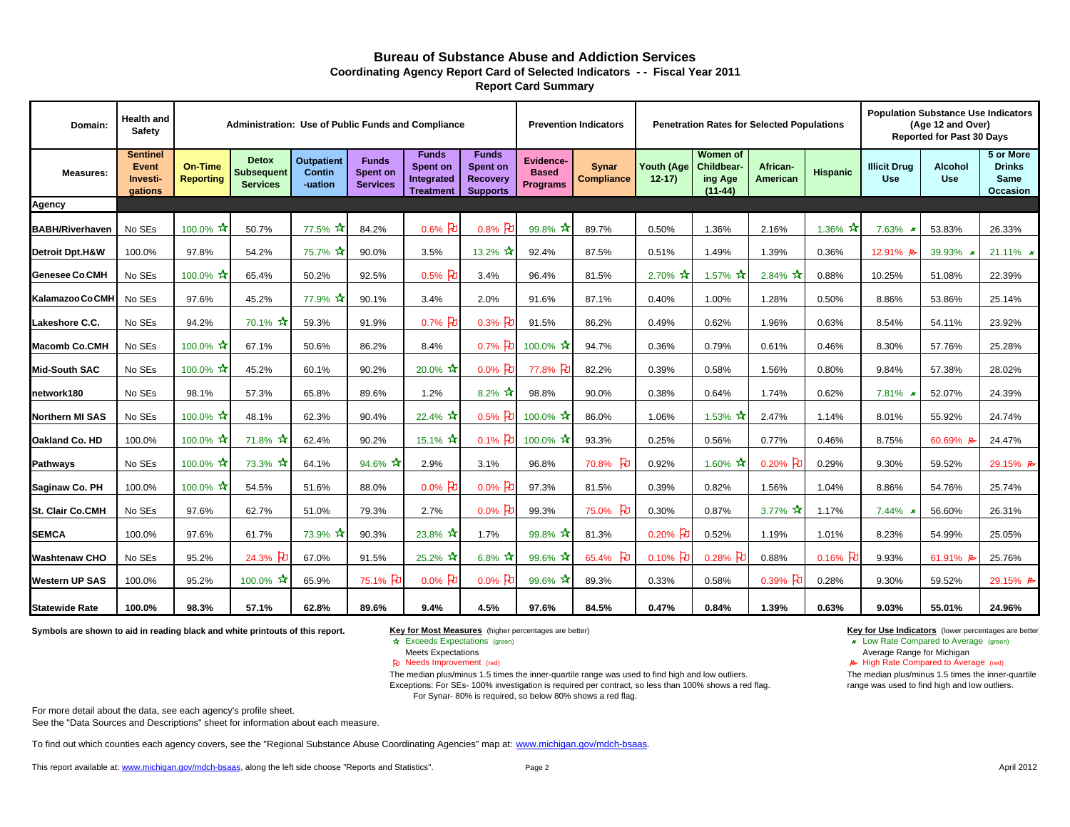#### **Bureau of Substance Abuse and Addiction ServicesReport Card Summary Coordinating Agency Report Card of Selected Indicators - - Fiscal Year 2011**

| Domain:                    | Health and<br><b>Safety</b>                     |                                    | Administration: Use of Public Funds and Compliance   |                                               |                                                    |                                                            |                                                         |                                                     | <b>Prevention Indicators</b> |                          | <b>Penetration Rates for Selected Populations</b>     |                      |                     |                                   | <b>Population Substance Use Indicators</b><br>(Age 12 and Over)<br><b>Reported for Past 30 Days</b> |                                                       |
|----------------------------|-------------------------------------------------|------------------------------------|------------------------------------------------------|-----------------------------------------------|----------------------------------------------------|------------------------------------------------------------|---------------------------------------------------------|-----------------------------------------------------|------------------------------|--------------------------|-------------------------------------------------------|----------------------|---------------------|-----------------------------------|-----------------------------------------------------------------------------------------------------|-------------------------------------------------------|
| <b>Measures:</b>           | <b>Sentinel</b><br>Event<br>Investi-<br>gations | <b>On-Time</b><br><b>Reporting</b> | <b>Detox</b><br><b>Subsequent</b><br><b>Services</b> | <b>Outpatient</b><br><b>Contin</b><br>-uation | <b>Funds</b><br><b>Spent on</b><br><b>Services</b> | <b>Funds</b><br>Spent on<br>Integrated<br><b>Treatment</b> | <b>Funds</b><br>Spent on<br>Recovery<br><b>Supports</b> | <b>Evidence-</b><br><b>Based</b><br><b>Programs</b> | Synar<br><b>Compliance</b>   | Youth (Age<br>$12-17$    | Women of<br><b>Childbear-</b><br>ing Age<br>$(11-44)$ | African-<br>American | <b>Hispanic</b>     | <b>Illicit Drug</b><br><b>Use</b> | <b>Alcohol</b><br><b>Use</b>                                                                        | 5 or More<br><b>Drinks</b><br><b>Same</b><br>Occasion |
| Agency                     |                                                 |                                    |                                                      |                                               |                                                    |                                                            |                                                         |                                                     |                              |                          |                                                       |                      |                     |                                   |                                                                                                     |                                                       |
| <b>BABH/Riverhaven</b>     | No SEs                                          | 100.0% $*$                         | 50.7%                                                | 77.5%                                         | 84.2%                                              | $0.6\%$ PU                                                 | $0.8\%$ Po                                              | 99.8% $\frac{1}{10}$                                | 89.7%                        | 0.50%                    | 1.36%                                                 | 2.16%                | 1.36% $\frac{1}{1}$ | 7.63% *                           | 53.83%                                                                                              | 26.33%                                                |
| <b>Detroit Dpt.H&amp;W</b> | 100.0%                                          | 97.8%                              | 54.2%                                                | 75.7%                                         | 90.0%                                              | 3.5%                                                       | 13.2% $\mathbf{\hat{x}}$                                | 92.4%                                               | 87.5%                        | 0.51%                    | 1.49%                                                 | 1.39%                | 0.36%               | 12.91% B                          | 39.93%                                                                                              | 21.11% $\star$                                        |
| <b>Genesee Co.CMH</b>      | No SEs                                          | 100.0% $\star$                     | 65.4%                                                | 50.2%                                         | 92.5%                                              | $0.5%$ Po                                                  | 3.4%                                                    | 96.4%                                               | 81.5%                        | 2.70% $\mathbf{\hat{x}}$ | 1.57% $\mathbf{\hat{x}}$                              | $2.84\%$ $\pi$       | 0.88%               | 10.25%                            | 51.08%                                                                                              | 22.39%                                                |
| Kalamazoo Co.CMH           | No SEs                                          | 97.6%                              | 45.2%                                                | 77.9% አ                                       | 90.1%                                              | 3.4%                                                       | 2.0%                                                    | 91.6%                                               | 87.1%                        | 0.40%                    | 1.00%                                                 | 1.28%                | 0.50%               | 8.86%                             | 53.86%                                                                                              | 25.14%                                                |
| Lakeshore C.C.             | No SEs                                          | 94.2%                              | $70.1\%$ $\star$                                     | 59.3%                                         | 91.9%                                              | 0.7% $\beta$                                               | $0.3%$ Po                                               | 91.5%                                               | 86.2%                        | 0.49%                    | 0.62%                                                 | 1.96%                | 0.63%               | 8.54%                             | 54.11%                                                                                              | 23.92%                                                |
| <b>Macomb Co.CMH</b>       | No SEs                                          | 100.0% $\star$                     | 67.1%                                                | 50.6%                                         | 86.2%                                              | 8.4%                                                       | $0.7\%$ 凡                                               | 100.0% $\star$                                      | 94.7%                        | 0.36%                    | 0.79%                                                 | 0.61%                | 0.46%               | 8.30%                             | 57.76%                                                                                              | 25.28%                                                |
| <b>Mid-South SAC</b>       | No SEs                                          | 100.0% $\mathbf{\hat{x}}$          | 45.2%                                                | 60.1%                                         | 90.2%                                              | $20.0\%$ $\star$                                           | $0.0\%$ 】                                               | 77.8% PD                                            | 82.2%                        | 0.39%                    | 0.58%                                                 | 1.56%                | 0.80%               | 9.84%                             | 57.38%                                                                                              | 28.02%                                                |
| network180                 | No SEs                                          | 98.1%                              | 57.3%                                                | 65.8%                                         | 89.6%                                              | 1.2%                                                       | 8.2% $*$                                                | 98.8%                                               | 90.0%                        | 0.38%                    | 0.64%                                                 | 1.74%                | 0.62%               | $7.81\%$ *                        | 52.07%                                                                                              | 24.39%                                                |
| <b>Northern MI SAS</b>     | No SEs                                          | 100.0% $\star$                     | 48.1%                                                | 62.3%                                         | 90.4%                                              | 22.4%                                                      | $0.5%$ Po                                               | 100.0% $*$                                          | 86.0%                        | 1.06%                    | 1.53% $\mathbf{\hat{x}}$                              | 2.47%                | 1.14%               | 8.01%                             | 55.92%                                                                                              | 24.74%                                                |
| Oakland Co. HD             | 100.0%                                          | 100.0% $*$                         | 71.8% $\mathbf{\hat{x}}$                             | 62.4%                                         | 90.2%                                              | 15.1% $\mathbf{\hat{x}}$                                   | $0.1\%$ Po                                              | 100.0% $\star$                                      | 93.3%                        | 0.25%                    | 0.56%                                                 | 0.77%                | 0.46%               | 8.75%                             | 60.69% B                                                                                            | 24.47%                                                |
| Pathways                   | No SEs                                          | 100.0% $\star$                     | $73.3\%$ $\star$                                     | 64.1%                                         | 94.6% $\star$                                      | 2.9%                                                       | 3.1%                                                    | 96.8%                                               | 70.8%<br><u>। भ</u>          | 0.92%                    | 1.60% $\mathbf{\hat{x}}$                              | $0.20\%$ PO          | 0.29%               | 9.30%                             | 59.52%                                                                                              | 29.15% B                                              |
| Saginaw Co. PH             | 100.0%                                          | 100.0% $*$                         | 54.5%                                                | 51.6%                                         | 88.0%                                              | $0.0\%$ $\mathcal{F}_{\mathbf{0}}$                         | $0.0\%$ P                                               | 97.3%                                               | 81.5%                        | 0.39%                    | 0.82%                                                 | 1.56%                | 1.04%               | 8.86%                             | 54.76%                                                                                              | 25.74%                                                |
| <b>St. Clair Co.CMH</b>    | No SEs                                          | 97.6%                              | 62.7%                                                | 51.0%                                         | 79.3%                                              | 2.7%                                                       | $0.0\%$ Po                                              | 99.3%                                               | ਮਿ<br>75.0%                  | 0.30%                    | 0.87%                                                 | 3.77% $\pi$          | 1.17%               | 7.44% $*$                         | 56.60%                                                                                              | 26.31%                                                |
| <b>SEMCA</b>               | 100.0%                                          | 97.6%                              | 61.7%                                                | 73.9%                                         | 90.3%                                              | 23.8%                                                      | 1.7%                                                    | 99.8% $\pi$                                         | 81.3%                        | $0.20%$ PO               | 0.52%                                                 | 1.19%                | 1.01%               | 8.23%                             | 54.99%                                                                                              | 25.05%                                                |
| <b>Washtenaw CHO</b>       | No SEs                                          | 95.2%                              | 24.3% PD                                             | 67.0%                                         | 91.5%                                              | 25.2% $\mathbf{\hat{x}}$                                   | $6.8\%$ $\star$                                         | 99.6% $*$                                           | 65.4% PD                     | $0.10\%$ PU              | 0.28% $\beta$                                         | 0.88%                | $0.16\%$            | 9.93%                             | 61.91% B                                                                                            | 25.76%                                                |
| <b>Western UP SAS</b>      | 100.0%                                          | 95.2%                              | 100.0%                                               | 65.9%                                         | 75.1% PD                                           | $0.0\%$ $\mathcal{F}_{0}$                                  | $0.0\%$ Po                                              | $99.6\%$ ×                                          | 89.3%                        | 0.33%                    | 0.58%                                                 | $0.39%$ Po           | 0.28%               | 9.30%                             | 59.52%                                                                                              | 29.15% B                                              |
| <b>Statewide Rate</b>      | 100.0%                                          | 98.3%                              | 57.1%                                                | 62.8%                                         | 89.6%                                              | 9.4%                                                       | 4.5%                                                    | 97.6%                                               | 84.5%                        | 0.47%                    | 0.84%                                                 | 1.39%                | 0.63%               | 9.03%                             | 55.01%                                                                                              | 24.96%                                                |

**Symbols are shown to aid in reading black and white printouts of this report.**

#### **Key for Most Measures** (higher percentages are better) **Key for Use Indicators** (lower percentages are better)

- ☆ Exceeds Expectations (green)
- 
- Needs Improvement (red)
- The median plus/minus 1.5 times the inner-quartile range was used to find high and low outliers. Exceptions: For SEs- 100% investigation is required per contract, so less than 100% shows a red flag. For Synar- 80% is required, so below 80% shows a red flag.

For more detail about the data, see each agency's profile sheet.

See the "Data Sources and Descriptions" sheet for information about each measure.

To find out which counties each agency covers, see the "Regional Substance Abuse Coordinating Agencies" map at: www.michigan.gov/mdch-bsaas.

This report available at: www.michigan.gov/mdch-bsaas, along the left side choose "Reports and Statistics".

Exceeds Expectations (green) **Later Compared to Average (green) Low Rate Compared to Average (green) Low Rate Compared to Average (green) Low Rate Compared to Average (green) Meets Expectations** Average Range for Michigan

A High Rate Compared to Average (red)

The median plus/minus 1.5 times the inner-quartile range was used to find high and low outliers.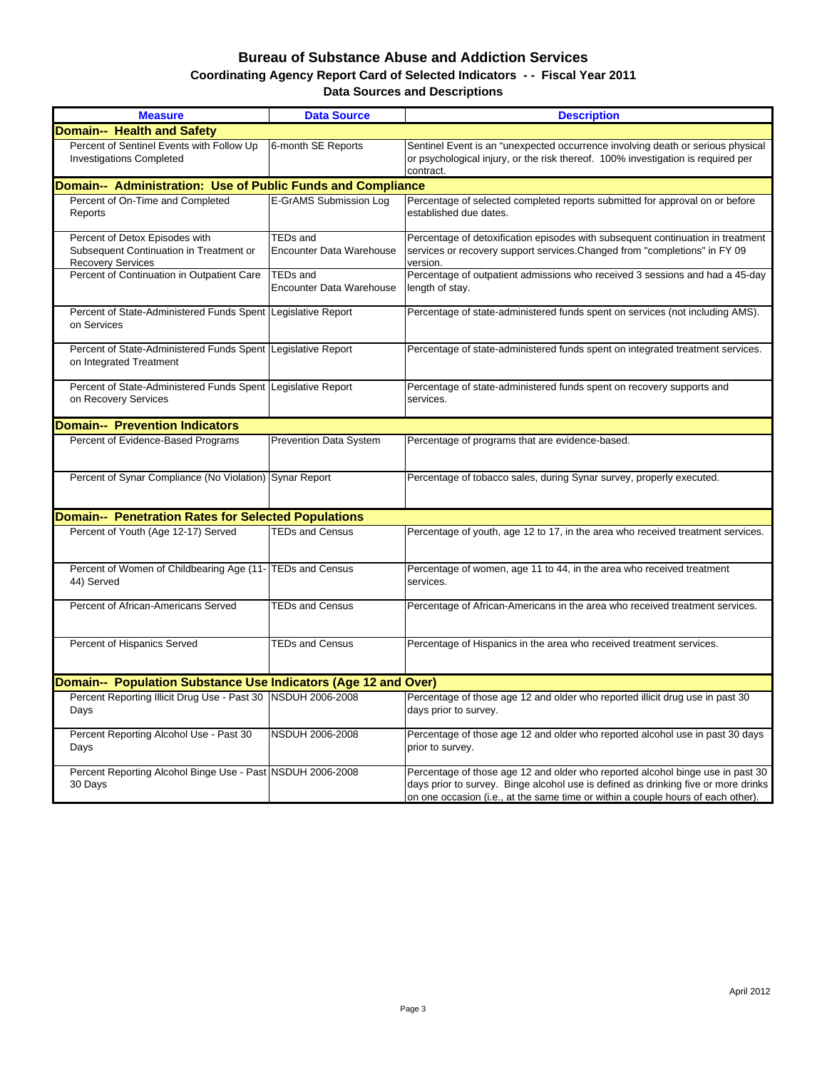#### **Bureau of Substance Abuse and Addiction Services Data Sources and Descriptions Coordinating Agency Report Card of Selected Indicators - - Fiscal Year 2011**

| <b>Measure</b>                                                                                        | <b>Data Source</b>                                 | <b>Description</b>                                                                                                                                                                                                                                       |
|-------------------------------------------------------------------------------------------------------|----------------------------------------------------|----------------------------------------------------------------------------------------------------------------------------------------------------------------------------------------------------------------------------------------------------------|
| <b>Domain-- Health and Safety</b>                                                                     |                                                    |                                                                                                                                                                                                                                                          |
| Percent of Sentinel Events with Follow Up                                                             |                                                    |                                                                                                                                                                                                                                                          |
| <b>Investigations Completed</b>                                                                       | 6-month SE Reports                                 | Sentinel Event is an "unexpected occurrence involving death or serious physical<br>or psychological injury, or the risk thereof. 100% investigation is required per<br>contract.                                                                         |
| Domain-- Administration: Use of Public Funds and Compliance                                           |                                                    |                                                                                                                                                                                                                                                          |
| Percent of On-Time and Completed<br>Reports                                                           | E-GrAMS Submission Log                             | Percentage of selected completed reports submitted for approval on or before<br>established due dates.                                                                                                                                                   |
| Percent of Detox Episodes with<br>Subsequent Continuation in Treatment or<br><b>Recovery Services</b> | <b>TEDs and</b><br><b>Encounter Data Warehouse</b> | Percentage of detoxification episodes with subsequent continuation in treatment<br>services or recovery support services. Changed from "completions" in FY 09<br>version.                                                                                |
| Percent of Continuation in Outpatient Care                                                            | <b>TEDs and</b><br><b>Encounter Data Warehouse</b> | Percentage of outpatient admissions who received 3 sessions and had a 45-day<br>length of stay.                                                                                                                                                          |
| Percent of State-Administered Funds Spent<br>on Services                                              | Legislative Report                                 | Percentage of state-administered funds spent on services (not including AMS).                                                                                                                                                                            |
| Percent of State-Administered Funds Spent<br>on Integrated Treatment                                  | Legislative Report                                 | Percentage of state-administered funds spent on integrated treatment services.                                                                                                                                                                           |
| Percent of State-Administered Funds Spent<br>on Recovery Services                                     | Legislative Report                                 | Percentage of state-administered funds spent on recovery supports and<br>services.                                                                                                                                                                       |
| <b>Domain-- Prevention Indicators</b>                                                                 |                                                    |                                                                                                                                                                                                                                                          |
| Percent of Evidence-Based Programs                                                                    | <b>Prevention Data System</b>                      | Percentage of programs that are evidence-based.                                                                                                                                                                                                          |
| Percent of Synar Compliance (No Violation)                                                            | <b>Synar Report</b>                                | Percentage of tobacco sales, during Synar survey, properly executed.                                                                                                                                                                                     |
| <b>Domain-- Penetration Rates for Selected Populations</b>                                            |                                                    |                                                                                                                                                                                                                                                          |
| Percent of Youth (Age 12-17) Served                                                                   | <b>TEDs and Census</b>                             | Percentage of youth, age 12 to 17, in the area who received treatment services.                                                                                                                                                                          |
| Percent of Women of Childbearing Age (11- TEDs and Census<br>44) Served                               |                                                    | Percentage of women, age 11 to 44, in the area who received treatment<br>services.                                                                                                                                                                       |
| Percent of African-Americans Served                                                                   | <b>TEDs and Census</b>                             | Percentage of African-Americans in the area who received treatment services.                                                                                                                                                                             |
| Percent of Hispanics Served                                                                           | <b>TEDs and Census</b>                             | Percentage of Hispanics in the area who received treatment services.                                                                                                                                                                                     |
| Domain-- Population Substance Use Indicators (Age 12 and Over)                                        |                                                    |                                                                                                                                                                                                                                                          |
| Percent Reporting Illicit Drug Use - Past 30<br>Days                                                  | <b>NSDUH 2006-2008</b>                             | Percentage of those age 12 and older who reported illicit drug use in past 30<br>days prior to survey.                                                                                                                                                   |
| Percent Reporting Alcohol Use - Past 30<br>Days                                                       | NSDUH 2006-2008                                    | Percentage of those age 12 and older who reported alcohol use in past 30 days<br>prior to survey.                                                                                                                                                        |
| Percent Reporting Alcohol Binge Use - Past NSDUH 2006-2008<br>30 Days                                 |                                                    | Percentage of those age 12 and older who reported alcohol binge use in past 30<br>days prior to survey. Binge alcohol use is defined as drinking five or more drinks<br>on one occasion (i.e., at the same time or within a couple hours of each other). |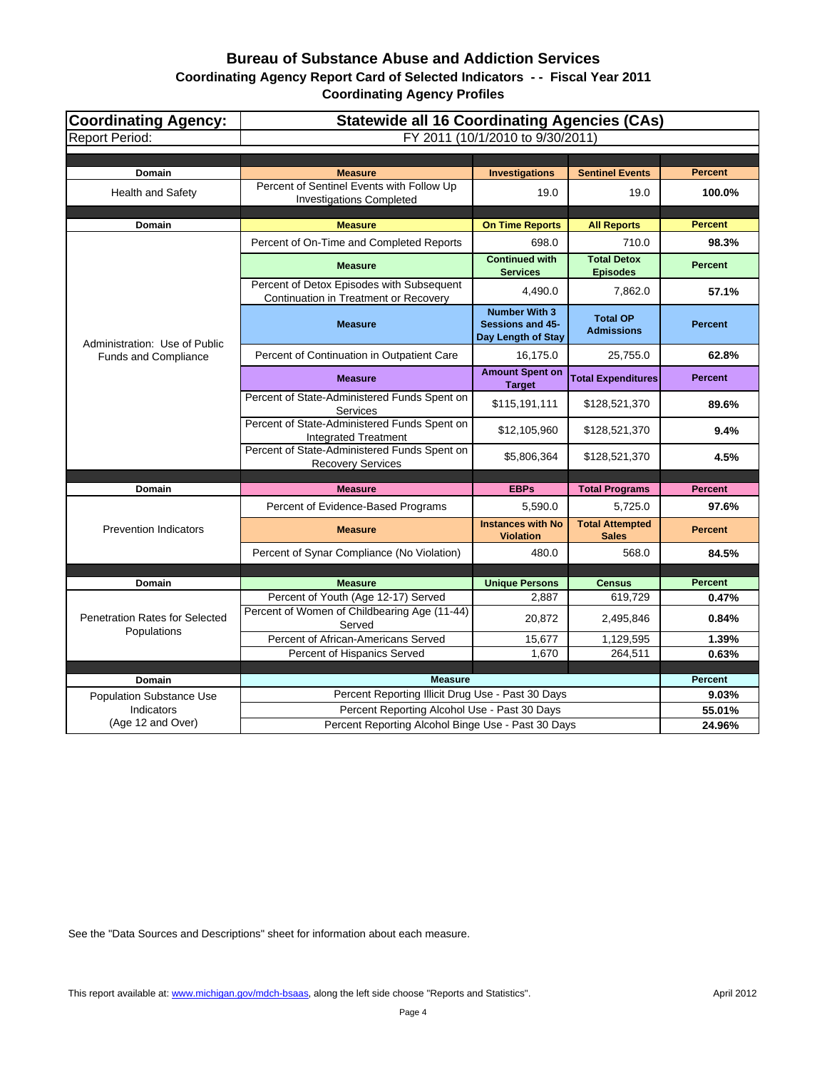# **Bureau of Substance Abuse and Addiction Services**

**Coordinating Agency Report Card of Selected Indicators - - Fiscal Year 2011**

**Coordinating Agency Profiles**

| <b>Coordinating Agency:</b>           | <b>Statewide all 16 Coordinating Agencies (CAs)</b>                                 |                                                                |                                        |                |  |  |
|---------------------------------------|-------------------------------------------------------------------------------------|----------------------------------------------------------------|----------------------------------------|----------------|--|--|
| <b>Report Period:</b>                 |                                                                                     | FY 2011 (10/1/2010 to 9/30/2011)                               |                                        |                |  |  |
|                                       |                                                                                     |                                                                |                                        |                |  |  |
| Domain                                | <b>Measure</b>                                                                      | <b>Investigations</b>                                          | <b>Sentinel Events</b>                 | <b>Percent</b> |  |  |
| Health and Safety                     | Percent of Sentinel Events with Follow Up<br><b>Investigations Completed</b>        | 19.0                                                           | 19.0                                   | 100.0%         |  |  |
| Domain                                | <b>Measure</b>                                                                      | <b>On Time Reports</b>                                         | <b>All Reports</b>                     | <b>Percent</b> |  |  |
|                                       | Percent of On-Time and Completed Reports                                            | 698.0                                                          | 710.0                                  | 98.3%          |  |  |
|                                       | <b>Measure</b>                                                                      | <b>Continued with</b><br><b>Services</b>                       | <b>Total Detox</b><br><b>Episodes</b>  | <b>Percent</b> |  |  |
|                                       | Percent of Detox Episodes with Subsequent<br>Continuation in Treatment or Recovery  | 4,490.0                                                        | 7,862.0                                | 57.1%          |  |  |
| Administration: Use of Public         | <b>Measure</b>                                                                      | <b>Number With 3</b><br>Sessions and 45-<br>Day Length of Stay | <b>Total OP</b><br><b>Admissions</b>   | <b>Percent</b> |  |  |
| Funds and Compliance                  | Percent of Continuation in Outpatient Care                                          | 16,175.0                                                       | 25,755.0                               | 62.8%          |  |  |
|                                       | <b>Measure</b>                                                                      | <b>Amount Spent on</b><br><b>Target</b>                        | <b>Total Expenditures</b>              | <b>Percent</b> |  |  |
|                                       | Percent of State-Administered Funds Spent on<br><b>Services</b>                     | \$115,191,111                                                  | \$128,521,370                          | 89.6%          |  |  |
|                                       | Percent of State-Administered Funds Spent on<br><b>Integrated Treatment</b>         | \$12,105,960                                                   | \$128,521,370                          | 9.4%           |  |  |
|                                       | Percent of State-Administered Funds Spent on<br><b>Recovery Services</b>            | \$5,806,364                                                    | \$128,521,370                          | 4.5%           |  |  |
| Domain                                | <b>Measure</b>                                                                      | <b>EBPs</b>                                                    | <b>Total Programs</b>                  | <b>Percent</b> |  |  |
|                                       | Percent of Evidence-Based Programs                                                  | 5.590.0                                                        | 5.725.0                                | 97.6%          |  |  |
| <b>Prevention Indicators</b>          | <b>Measure</b>                                                                      | <b>Instances with No</b><br><b>Violation</b>                   | <b>Total Attempted</b><br><b>Sales</b> | <b>Percent</b> |  |  |
|                                       | Percent of Synar Compliance (No Violation)                                          | 480.0                                                          | 568.0                                  | 84.5%          |  |  |
|                                       |                                                                                     |                                                                |                                        |                |  |  |
| <b>Domain</b>                         | <b>Measure</b>                                                                      | <b>Unique Persons</b>                                          | <b>Census</b>                          | <b>Percent</b> |  |  |
| <b>Penetration Rates for Selected</b> | Percent of Youth (Age 12-17) Served<br>Percent of Women of Childbearing Age (11-44) | 2,887<br>20,872                                                | 619,729<br>2,495,846                   | 0.47%<br>0.84% |  |  |
| Populations                           | Served                                                                              |                                                                |                                        |                |  |  |
|                                       | Percent of African-Americans Served<br>Percent of Hispanics Served                  | 15,677                                                         | 1,129,595<br>264,511                   | 1.39%<br>0.63% |  |  |
|                                       |                                                                                     | 1,670                                                          |                                        |                |  |  |
| Domain                                | <b>Measure</b>                                                                      |                                                                |                                        | <b>Percent</b> |  |  |
| <b>Population Substance Use</b>       | Percent Reporting Illicit Drug Use - Past 30 Days                                   |                                                                |                                        | 9.03%          |  |  |
| Indicators                            | Percent Reporting Alcohol Use - Past 30 Days                                        |                                                                |                                        | 55.01%         |  |  |
| (Age 12 and Over)                     | Percent Reporting Alcohol Binge Use - Past 30 Days                                  |                                                                |                                        | 24.96%         |  |  |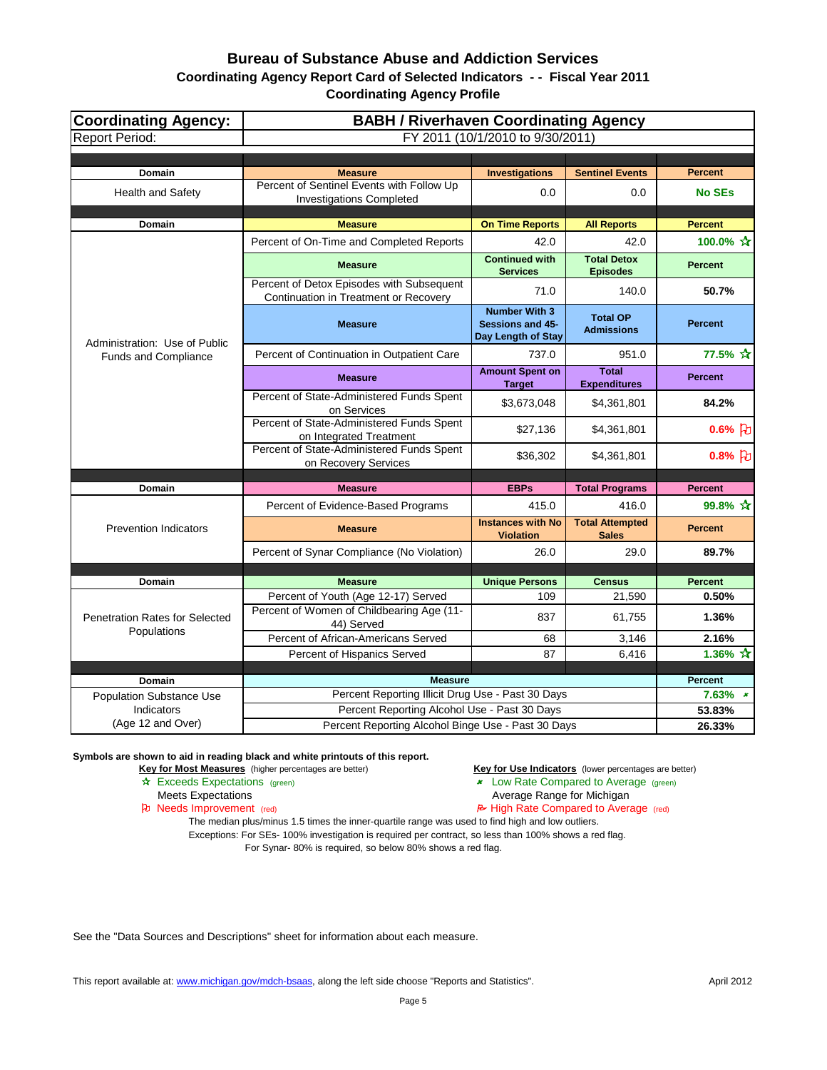| <b>Coordinating Agency:</b><br><b>Report Period:</b> | <b>BABH / Riverhaven Coordinating Agency</b><br>FY 2011 (10/1/2010 to 9/30/2011)               |                                                                       |                                        |                              |  |
|------------------------------------------------------|------------------------------------------------------------------------------------------------|-----------------------------------------------------------------------|----------------------------------------|------------------------------|--|
|                                                      |                                                                                                |                                                                       |                                        |                              |  |
| Domain                                               | <b>Measure</b>                                                                                 | <b>Investigations</b>                                                 | <b>Sentinel Events</b>                 | <b>Percent</b>               |  |
| Health and Safety                                    | Percent of Sentinel Events with Follow Up<br><b>Investigations Completed</b>                   | 0.0                                                                   | 0.0                                    | <b>No SEs</b>                |  |
| Domain                                               | <b>Measure</b>                                                                                 | <b>On Time Reports</b>                                                | <b>All Reports</b>                     | <b>Percent</b>               |  |
|                                                      | Percent of On-Time and Completed Reports                                                       | 42.0                                                                  | 42.0                                   | 100.0% $\frac{A}{A}$         |  |
|                                                      | <b>Measure</b>                                                                                 | <b>Continued with</b><br><b>Services</b>                              | <b>Total Detox</b><br><b>Episodes</b>  | <b>Percent</b>               |  |
|                                                      | Percent of Detox Episodes with Subsequent<br>Continuation in Treatment or Recovery             | 71.0                                                                  | 140.0                                  | 50.7%                        |  |
| Administration: Use of Public                        | <b>Measure</b>                                                                                 | <b>Number With 3</b><br><b>Sessions and 45-</b><br>Day Length of Stay | <b>Total OP</b><br><b>Admissions</b>   | <b>Percent</b>               |  |
| <b>Funds and Compliance</b>                          | Percent of Continuation in Outpatient Care                                                     | 737.0                                                                 | 951.0                                  | 77.5% ☆                      |  |
|                                                      | <b>Measure</b>                                                                                 | <b>Amount Spent on</b><br><b>Target</b>                               | <b>Total</b><br><b>Expenditures</b>    | <b>Percent</b>               |  |
|                                                      | Percent of State-Administered Funds Spent<br>on Services                                       | \$3,673,048                                                           | \$4,361,801                            | 84.2%                        |  |
|                                                      | Percent of State-Administered Funds Spent<br>on Integrated Treatment                           | \$27,136                                                              | \$4,361,801                            | $0.6%$ $\upbeta$             |  |
|                                                      | Percent of State-Administered Funds Spent<br>on Recovery Services                              | \$36,302                                                              | \$4,361,801                            | $0.8%$ }                     |  |
| Domain                                               | <b>Measure</b>                                                                                 | <b>EBPs</b>                                                           | <b>Total Programs</b>                  | <b>Percent</b>               |  |
|                                                      | Percent of Evidence-Based Programs                                                             | 415.0                                                                 | 416.0                                  | 99.8% ☆                      |  |
| <b>Prevention Indicators</b>                         | <b>Measure</b>                                                                                 | <b>Instances with No</b><br><b>Violation</b>                          | <b>Total Attempted</b><br><b>Sales</b> | <b>Percent</b>               |  |
|                                                      | Percent of Synar Compliance (No Violation)                                                     | 26.0                                                                  | 29.0                                   | 89.7%                        |  |
|                                                      |                                                                                                |                                                                       |                                        |                              |  |
| Domain                                               | <b>Measure</b>                                                                                 | <b>Unique Persons</b>                                                 | <b>Census</b>                          | <b>Percent</b>               |  |
| <b>Penetration Rates for Selected</b>                | Percent of Youth (Age 12-17) Served<br>Percent of Women of Childbearing Age (11-<br>44) Served | 109<br>837                                                            | 21,590<br>61,755                       | 0.50%<br>1.36%               |  |
| Populations                                          | Percent of African-Americans Served                                                            | 68                                                                    | 3,146                                  | 2.16%                        |  |
|                                                      | Percent of Hispanics Served                                                                    | 87                                                                    | 6,416                                  | 1.36% $\frac{1}{11}$         |  |
|                                                      |                                                                                                |                                                                       |                                        |                              |  |
| Domain                                               | <b>Measure</b><br>Percent Reporting Illicit Drug Use - Past 30 Days                            |                                                                       |                                        | <b>Percent</b><br>$7.63\%$ * |  |
| <b>Population Substance Use</b><br>Indicators        | Percent Reporting Alcohol Use - Past 30 Days                                                   |                                                                       |                                        | 53.83%                       |  |
| (Age 12 and Over)                                    | Percent Reporting Alcohol Binge Use - Past 30 Days                                             |                                                                       |                                        | 26.33%                       |  |

**Symbols are shown to aid in reading black and white printouts of this report.**

- 
- **Key for Most Measures** (higher percentages are better) **Key for Use Indicators** (lower percentages are better)<br> **Key for Use Indicators** (lower percentages are better)<br> **Key for Use Indicators** (lower percentages are bett
	- **x** Low Rate Compared to Average (green)
	- Meets Expectations **Average Range for Michigan**

Pu Needs Improvement (red) **Needs** Improvement (red) **High Rate Compared to Average** (red)

The median plus/minus 1.5 times the inner-quartile range was used to find high and low outliers. Exceptions: For SEs- 100% investigation is required per contract, so less than 100% shows a red flag. For Synar- 80% is required, so below 80% shows a red flag.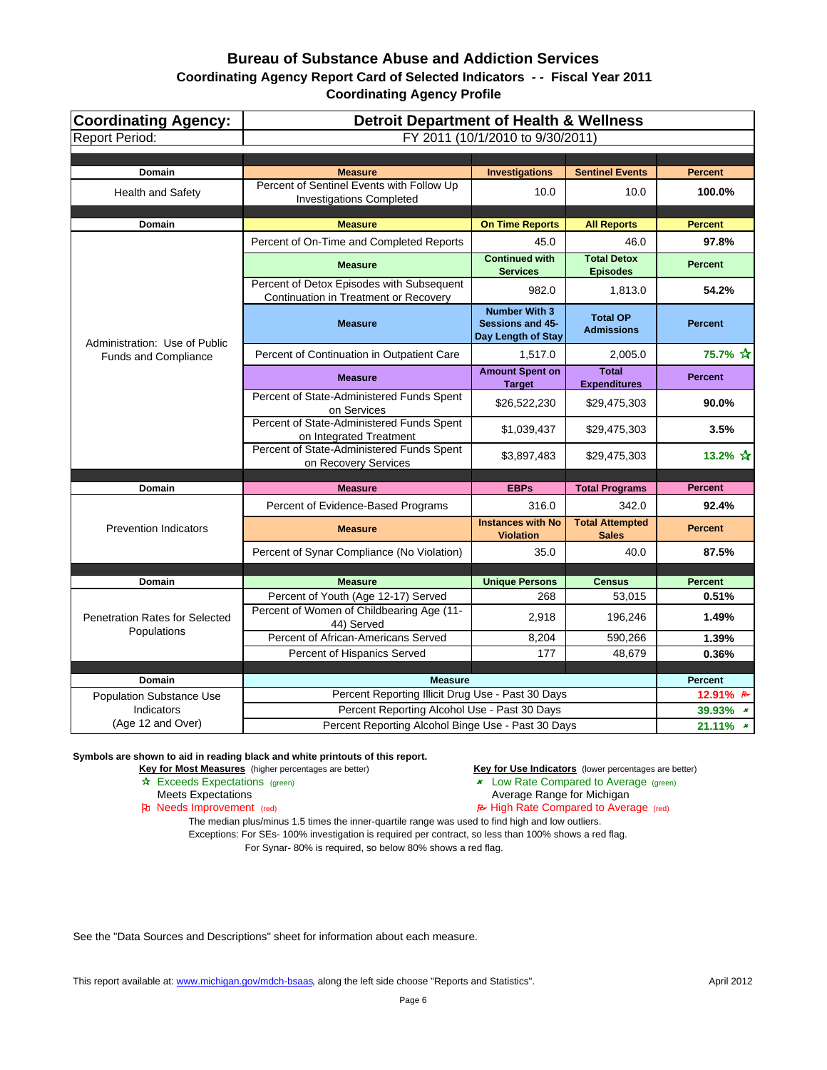| <b>Coordinating Agency:</b>           | <b>Detroit Department of Health &amp; Wellness</b>                                             |                                                                |                                        |                |
|---------------------------------------|------------------------------------------------------------------------------------------------|----------------------------------------------------------------|----------------------------------------|----------------|
| <b>Report Period:</b>                 |                                                                                                | FY 2011 (10/1/2010 to 9/30/2011)                               |                                        |                |
| <b>Domain</b>                         | <b>Measure</b>                                                                                 | <b>Investigations</b>                                          | <b>Sentinel Events</b>                 | <b>Percent</b> |
| <b>Health and Safety</b>              | Percent of Sentinel Events with Follow Up<br><b>Investigations Completed</b>                   | 10.0                                                           | 10.0                                   | 100.0%         |
| <b>Domain</b>                         | <b>Measure</b>                                                                                 | <b>On Time Reports</b>                                         | <b>All Reports</b>                     | <b>Percent</b> |
|                                       | Percent of On-Time and Completed Reports                                                       | 45.0                                                           | 46.0                                   | 97.8%          |
|                                       | <b>Measure</b>                                                                                 | <b>Continued with</b><br><b>Services</b>                       | <b>Total Detox</b><br><b>Episodes</b>  | <b>Percent</b> |
|                                       | Percent of Detox Episodes with Subsequent<br>Continuation in Treatment or Recovery             | 982.0                                                          | 1,813.0                                | 54.2%          |
| Administration: Use of Public         | <b>Measure</b>                                                                                 | <b>Number With 3</b><br>Sessions and 45-<br>Day Length of Stay | <b>Total OP</b><br><b>Admissions</b>   | <b>Percent</b> |
| <b>Funds and Compliance</b>           | Percent of Continuation in Outpatient Care                                                     | 1,517.0                                                        | 2,005.0                                | 75.7% ☆        |
|                                       | <b>Measure</b>                                                                                 | <b>Amount Spent on</b><br><b>Target</b>                        | <b>Total</b><br><b>Expenditures</b>    | <b>Percent</b> |
|                                       | Percent of State-Administered Funds Spent<br>on Services                                       | \$26,522,230                                                   | \$29,475,303                           | 90.0%          |
|                                       | Percent of State-Administered Funds Spent<br>on Integrated Treatment                           | \$1,039,437                                                    | \$29,475,303                           | 3.5%           |
|                                       | Percent of State-Administered Funds Spent<br>on Recovery Services                              | \$3,897,483                                                    | \$29,475,303                           | 13.2% ☆        |
| Domain                                | <b>Measure</b>                                                                                 | <b>EBPs</b>                                                    | <b>Total Programs</b>                  | <b>Percent</b> |
|                                       | Percent of Evidence-Based Programs                                                             | 316.0                                                          | 342.0                                  | 92.4%          |
| <b>Prevention Indicators</b>          | <b>Measure</b>                                                                                 | <b>Instances with No</b><br><b>Violation</b>                   | <b>Total Attempted</b><br><b>Sales</b> | <b>Percent</b> |
|                                       | Percent of Synar Compliance (No Violation)                                                     | 35.0                                                           | 40.0                                   | 87.5%          |
|                                       |                                                                                                |                                                                |                                        |                |
| <b>Domain</b>                         | <b>Measure</b>                                                                                 | <b>Unique Persons</b><br>268                                   | <b>Census</b>                          | <b>Percent</b> |
| <b>Penetration Rates for Selected</b> | Percent of Youth (Age 12-17) Served<br>Percent of Women of Childbearing Age (11-<br>44) Served | 2,918                                                          | 53,015<br>196,246                      | 0.51%<br>1.49% |
| Populations                           | Percent of African-Americans Served                                                            | 8,204                                                          | 590,266                                | 1.39%          |
|                                       | Percent of Hispanics Served                                                                    | 177                                                            | 48,679                                 | 0.36%          |
| Domain                                | <b>Measure</b>                                                                                 |                                                                |                                        | <b>Percent</b> |
| <b>Population Substance Use</b>       | Percent Reporting Illicit Drug Use - Past 30 Days                                              |                                                                |                                        | 12.91% B       |
| Indicators                            | Percent Reporting Alcohol Use - Past 30 Days                                                   |                                                                |                                        | 39.93% *       |
| (Age 12 and Over)                     | Percent Reporting Alcohol Binge Use - Past 30 Days                                             |                                                                |                                        | $21.11\%$ *    |

**Symbols are shown to aid in reading black and white printouts of this report.**

**Key for Most Measures** (higher percentages are better) **Key for Use Indicators** (lower percentages are better)

Exceeds Expectations (green) Low Rate Compared to Average (green)

- Meets Expectations **Average Range for Michigan**
- Needs Improvement (red) High Rate Compared to Average (red)

The median plus/minus 1.5 times the inner-quartile range was used to find high and low outliers. Exceptions: For SEs- 100% investigation is required per contract, so less than 100% shows a red flag.

For Synar- 80% is required, so below 80% shows a red flag.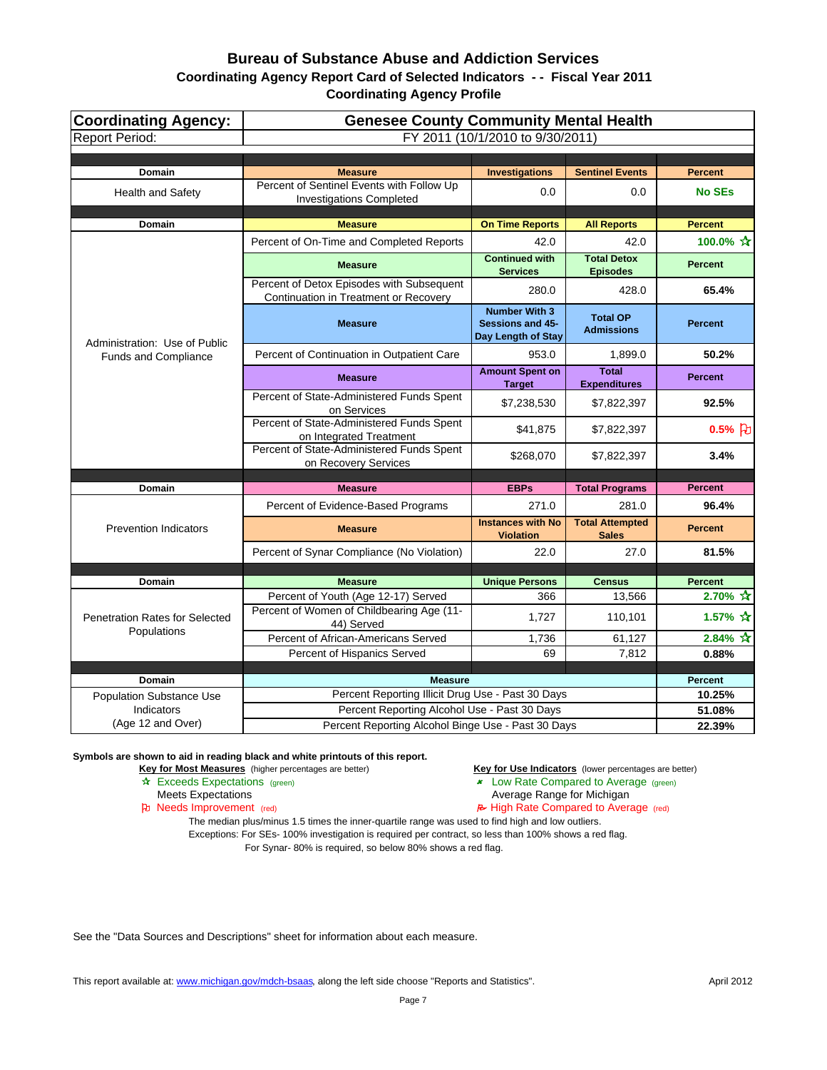| <b>Coordinating Agency:</b>           | <b>Genesee County Community Mental Health</b><br>FY 2011 (10/1/2010 to 9/30/2011)  |                                                                       |                                        |                                    |  |
|---------------------------------------|------------------------------------------------------------------------------------|-----------------------------------------------------------------------|----------------------------------------|------------------------------------|--|
| <b>Report Period:</b>                 |                                                                                    |                                                                       |                                        |                                    |  |
| <b>Domain</b>                         | <b>Measure</b>                                                                     | <b>Investigations</b>                                                 | <b>Sentinel Events</b>                 | <b>Percent</b>                     |  |
| Health and Safety                     | Percent of Sentinel Events with Follow Up<br><b>Investigations Completed</b>       | 0.0                                                                   | 0.0                                    | <b>No SEs</b>                      |  |
| <b>Domain</b>                         | <b>Measure</b>                                                                     | <b>On Time Reports</b>                                                | <b>All Reports</b>                     | <b>Percent</b>                     |  |
|                                       | Percent of On-Time and Completed Reports                                           | 42.0                                                                  | 42.0                                   | 100.0% ☆                           |  |
|                                       | <b>Measure</b>                                                                     | <b>Continued with</b><br><b>Services</b>                              | <b>Total Detox</b><br><b>Episodes</b>  | <b>Percent</b>                     |  |
|                                       | Percent of Detox Episodes with Subsequent<br>Continuation in Treatment or Recovery | 280.0                                                                 | 428.0                                  | 65.4%                              |  |
| Administration: Use of Public         | <b>Measure</b>                                                                     | <b>Number With 3</b><br><b>Sessions and 45-</b><br>Day Length of Stay | <b>Total OP</b><br><b>Admissions</b>   | <b>Percent</b>                     |  |
| Funds and Compliance                  | Percent of Continuation in Outpatient Care                                         | 953.0                                                                 | 1,899.0                                | 50.2%                              |  |
|                                       | <b>Measure</b>                                                                     | <b>Amount Spent on</b><br><b>Target</b>                               | <b>Total</b><br><b>Expenditures</b>    | <b>Percent</b>                     |  |
|                                       | Percent of State-Administered Funds Spent<br>on Services                           | \$7,238,530                                                           | \$7,822,397                            | 92.5%                              |  |
|                                       | Percent of State-Administered Funds Spent<br>on Integrated Treatment               | \$41,875                                                              | \$7,822,397                            | $0.5%$ [D]                         |  |
|                                       | Percent of State-Administered Funds Spent<br>on Recovery Services                  | \$268,070                                                             | \$7,822,397                            | 3.4%                               |  |
| <b>Domain</b>                         | <b>Measure</b>                                                                     | <b>EBPs</b>                                                           | <b>Total Programs</b>                  | <b>Percent</b>                     |  |
|                                       | Percent of Evidence-Based Programs                                                 | 271.0                                                                 | 281.0                                  | 96.4%                              |  |
| <b>Prevention Indicators</b>          | <b>Measure</b>                                                                     | <b>Instances with No</b><br><b>Violation</b>                          | <b>Total Attempted</b><br><b>Sales</b> | <b>Percent</b>                     |  |
|                                       | Percent of Synar Compliance (No Violation)                                         | 22.0                                                                  | 27.0                                   | 81.5%                              |  |
|                                       |                                                                                    |                                                                       |                                        |                                    |  |
| Domain                                | <b>Measure</b>                                                                     | <b>Unique Persons</b>                                                 | <b>Census</b>                          | <b>Percent</b>                     |  |
| <b>Penetration Rates for Selected</b> | Percent of Youth (Age 12-17) Served<br>Percent of Women of Childbearing Age (11-   | 366<br>1,727                                                          | 13,566<br>110,101                      | $2.70\%$ $\frac{1}{10}$<br>1.57% ☆ |  |
| Populations                           | 44) Served                                                                         |                                                                       |                                        |                                    |  |
|                                       | Percent of African-Americans Served<br>Percent of Hispanics Served                 | 1,736<br>69                                                           | 61,127<br>7,812                        | $2.84\% \; \star$<br>0.88%         |  |
|                                       |                                                                                    |                                                                       |                                        |                                    |  |
| <b>Domain</b>                         | <b>Measure</b>                                                                     |                                                                       |                                        | Percent                            |  |
| <b>Population Substance Use</b>       | Percent Reporting Illicit Drug Use - Past 30 Days                                  |                                                                       |                                        | 10.25%                             |  |
| Indicators                            | Percent Reporting Alcohol Use - Past 30 Days                                       |                                                                       |                                        | 51.08%                             |  |
| (Age 12 and Over)                     | Percent Reporting Alcohol Binge Use - Past 30 Days                                 |                                                                       |                                        | 22.39%                             |  |

**Symbols are shown to aid in reading black and white printouts of this report.**

**Key for Most Measures** (higher percentages are better) **Key for Use Indicators** (lower percentages are better)

- Exceeds Expectations (green) Low Rate Compared to Average (green)
	- Meets Expectations **Average Range for Michigan**
- Needs Improvement (red) High Rate Compared to Average (red)

The median plus/minus 1.5 times the inner-quartile range was used to find high and low outliers. Exceptions: For SEs- 100% investigation is required per contract, so less than 100% shows a red flag. For Synar- 80% is required, so below 80% shows a red flag.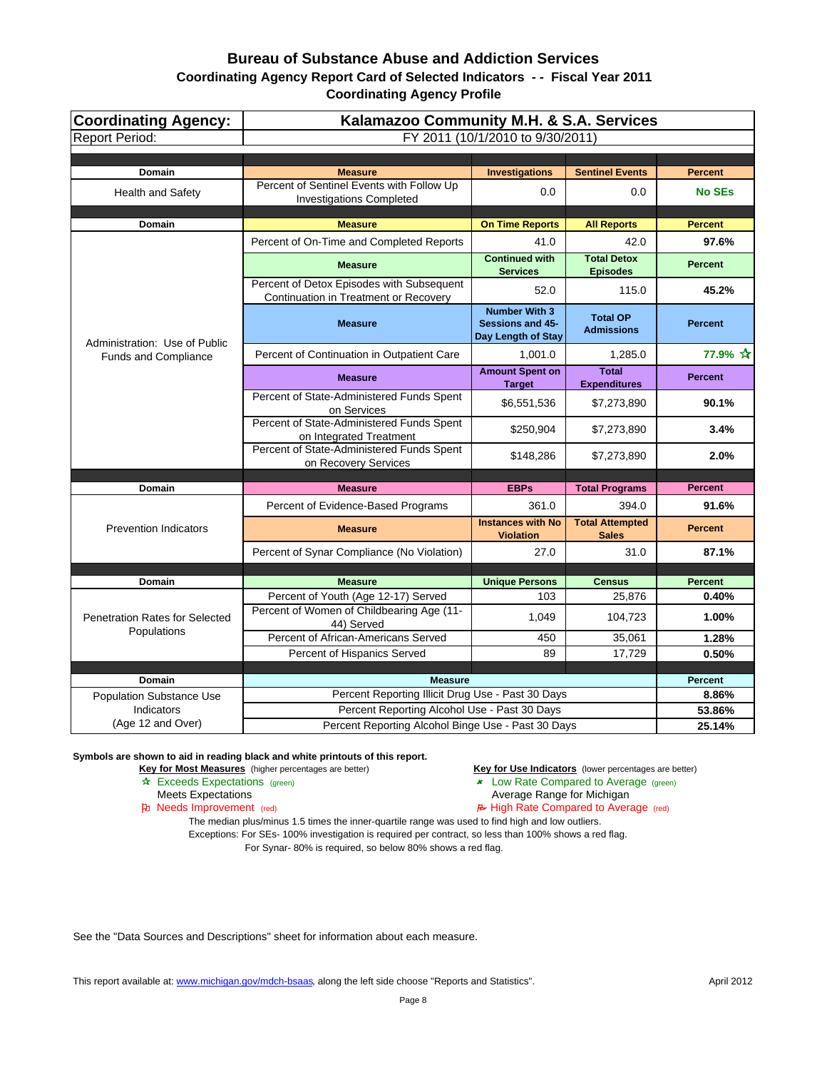| <b>Coordinating Agency:</b><br><b>Report Period:</b> | Kalamazoo Community M.H. & S.A. Services                                           | FY 2011 (10/1/2010 to 9/30/2011)                                      |                                        |                         |
|------------------------------------------------------|------------------------------------------------------------------------------------|-----------------------------------------------------------------------|----------------------------------------|-------------------------|
|                                                      |                                                                                    |                                                                       |                                        |                         |
| Domain                                               | <b>Measure</b>                                                                     | <b>Investigations</b>                                                 | <b>Sentinel Events</b>                 | <b>Percent</b>          |
| <b>Health and Safety</b>                             | Percent of Sentinel Events with Follow Up<br><b>Investigations Completed</b>       | 0.0                                                                   | 0.0                                    | <b>No SEs</b>           |
| Domain                                               | <b>Measure</b>                                                                     | <b>On Time Reports</b>                                                | <b>All Reports</b>                     | <b>Percent</b>          |
|                                                      | Percent of On-Time and Completed Reports                                           | 41.0                                                                  | 42.0                                   | 97.6%                   |
|                                                      | <b>Measure</b>                                                                     | <b>Continued with</b><br><b>Services</b>                              | <b>Total Detox</b><br><b>Episodes</b>  | <b>Percent</b>          |
|                                                      | Percent of Detox Episodes with Subsequent<br>Continuation in Treatment or Recovery | 52.0                                                                  | 115.0                                  | 45.2%                   |
| Administration: Use of Public                        | <b>Measure</b>                                                                     | <b>Number With 3</b><br><b>Sessions and 45-</b><br>Day Length of Stay | <b>Total OP</b><br><b>Admissions</b>   | <b>Percent</b>          |
| <b>Funds and Compliance</b>                          | Percent of Continuation in Outpatient Care                                         | 1.001.0                                                               | 1,285.0                                | 77.9% ☆                 |
|                                                      | <b>Measure</b>                                                                     | <b>Amount Spent on</b><br><b>Target</b>                               | <b>Total</b><br><b>Expenditures</b>    | <b>Percent</b>          |
|                                                      | Percent of State-Administered Funds Spent<br>on Services                           | \$6,551,536                                                           | \$7,273,890                            | 90.1%                   |
|                                                      | Percent of State-Administered Funds Spent<br>on Integrated Treatment               | \$250,904                                                             | \$7,273,890                            | 3.4%                    |
|                                                      | Percent of State-Administered Funds Spent<br>on Recovery Services                  | \$148,286                                                             | \$7,273,890                            | 2.0%                    |
|                                                      |                                                                                    |                                                                       |                                        | <b>Percent</b>          |
| Domain                                               | <b>Measure</b>                                                                     | <b>EBPs</b>                                                           | <b>Total Programs</b>                  |                         |
|                                                      | Percent of Evidence-Based Programs                                                 | 361.0                                                                 | 394.0                                  | 91.6%                   |
| <b>Prevention Indicators</b>                         | <b>Measure</b>                                                                     | <b>Instances with No</b><br><b>Violation</b>                          | <b>Total Attempted</b><br><b>Sales</b> | <b>Percent</b>          |
|                                                      | Percent of Synar Compliance (No Violation)                                         | 27.0                                                                  | 31.0                                   | 87.1%                   |
|                                                      |                                                                                    |                                                                       |                                        |                         |
| <b>Domain</b>                                        | <b>Measure</b><br>Percent of Youth (Age 12-17) Served                              | <b>Unique Persons</b><br>103                                          | <b>Census</b><br>25,876                | <b>Percent</b><br>0.40% |
| <b>Penetration Rates for Selected</b>                | Percent of Women of Childbearing Age (11-<br>44) Served                            | 1,049                                                                 | 104,723                                | 1.00%                   |
| Populations                                          | Percent of African-Americans Served                                                | 450                                                                   | 35,061                                 | 1.28%                   |
|                                                      | Percent of Hispanics Served                                                        | 89                                                                    | 17,729                                 | 0.50%                   |
|                                                      |                                                                                    |                                                                       |                                        |                         |
| <b>Domain</b>                                        | <b>Measure</b><br>Percent Reporting Illicit Drug Use - Past 30 Days                |                                                                       |                                        | <b>Percent</b><br>8.86% |
| <b>Population Substance Use</b><br><b>Indicators</b> | Percent Reporting Alcohol Use - Past 30 Days                                       |                                                                       |                                        | 53.86%                  |
| (Age 12 and Over)                                    | Percent Reporting Alcohol Binge Use - Past 30 Days                                 |                                                                       |                                        | 25.14%                  |

**Symbols are shown to aid in reading black and white printouts of this report.**

**Key for Most Measures** (higher percentages are better) **Key for Use Indicators** (lower percentages are better)

Exceeds Expectations (green) Low Rate Compared to Average (green)

- 
- Meets Expectations **Average Range for Michigan**
- Needs Improvement (red) High Rate Compared to Average (red)

The median plus/minus 1.5 times the inner-quartile range was used to find high and low outliers. Exceptions: For SEs- 100% investigation is required per contract, so less than 100% shows a red flag.

For Synar- 80% is required, so below 80% shows a red flag.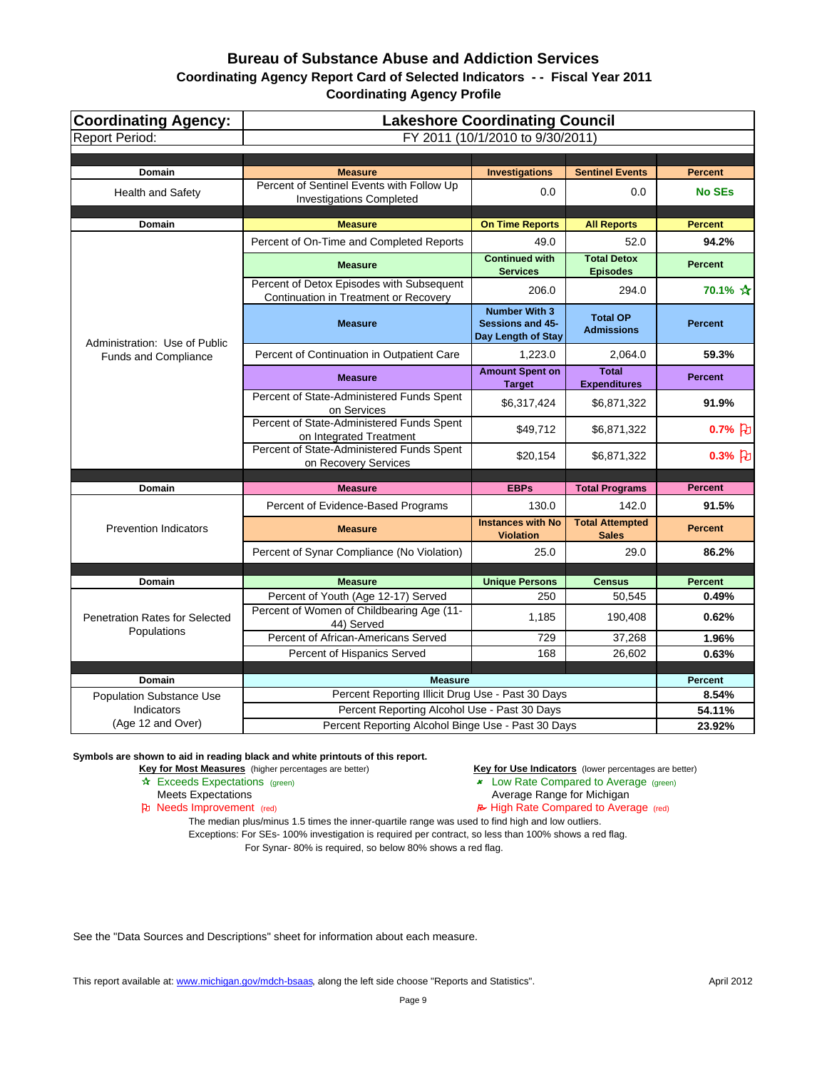| <b>Coordinating Agency:</b>                   |                                                                                                | <b>Lakeshore Coordinating Council</b>                                 |                                        |                         |
|-----------------------------------------------|------------------------------------------------------------------------------------------------|-----------------------------------------------------------------------|----------------------------------------|-------------------------|
| <b>Report Period:</b>                         |                                                                                                | FY 2011 (10/1/2010 to 9/30/2011)                                      |                                        |                         |
|                                               |                                                                                                |                                                                       |                                        | <b>Percent</b>          |
| <b>Domain</b><br><b>Health and Safety</b>     | <b>Measure</b><br>Percent of Sentinel Events with Follow Up<br><b>Investigations Completed</b> | <b>Investigations</b><br>0.0                                          | <b>Sentinel Events</b><br>0.0          | <b>No SEs</b>           |
| <b>Domain</b>                                 | <b>Measure</b>                                                                                 | <b>On Time Reports</b>                                                | <b>All Reports</b>                     | <b>Percent</b>          |
|                                               | Percent of On-Time and Completed Reports                                                       | 49.0                                                                  | 52.0                                   | 94.2%                   |
|                                               | <b>Measure</b>                                                                                 | <b>Continued with</b><br><b>Services</b>                              | <b>Total Detox</b><br><b>Episodes</b>  | <b>Percent</b>          |
|                                               | Percent of Detox Episodes with Subsequent<br>Continuation in Treatment or Recovery             | 206.0                                                                 | 294.0                                  | 70.1% ☆                 |
| Administration: Use of Public                 | <b>Measure</b>                                                                                 | <b>Number With 3</b><br><b>Sessions and 45-</b><br>Day Length of Stay | <b>Total OP</b><br><b>Admissions</b>   | <b>Percent</b>          |
| Funds and Compliance                          | Percent of Continuation in Outpatient Care                                                     | 1,223.0                                                               | 2,064.0                                | 59.3%                   |
|                                               | <b>Measure</b>                                                                                 | <b>Amount Spent on</b><br><b>Target</b>                               | <b>Total</b><br><b>Expenditures</b>    | <b>Percent</b>          |
|                                               | Percent of State-Administered Funds Spent<br>on Services                                       | \$6,317,424                                                           | \$6,871,322                            | 91.9%                   |
|                                               | Percent of State-Administered Funds Spent<br>on Integrated Treatment                           | \$49,712                                                              | \$6,871,322                            | $0.7%$ 凡                |
|                                               | Percent of State-Administered Funds Spent<br>on Recovery Services                              | \$20,154                                                              | \$6,871,322                            | $0.3%$ FU               |
|                                               |                                                                                                |                                                                       |                                        |                         |
| <b>Domain</b>                                 | <b>Measure</b>                                                                                 | <b>EBPs</b>                                                           | <b>Total Programs</b>                  | <b>Percent</b>          |
|                                               | Percent of Evidence-Based Programs                                                             | 130.0                                                                 | 142.0                                  | 91.5%                   |
| <b>Prevention Indicators</b>                  | <b>Measure</b>                                                                                 | <b>Instances with No</b><br><b>Violation</b>                          | <b>Total Attempted</b><br><b>Sales</b> | <b>Percent</b>          |
|                                               | Percent of Synar Compliance (No Violation)                                                     | 25.0                                                                  | 29.0                                   | 86.2%                   |
|                                               |                                                                                                |                                                                       |                                        |                         |
| Domain                                        | <b>Measure</b><br>Percent of Youth (Age 12-17) Served                                          | <b>Unique Persons</b><br>250                                          | <b>Census</b><br>50,545                | <b>Percent</b><br>0.49% |
| <b>Penetration Rates for Selected</b>         | Percent of Women of Childbearing Age (11-<br>44) Served                                        | 1,185                                                                 | 190,408                                | 0.62%                   |
| Populations                                   | Percent of African-Americans Served                                                            | 729                                                                   | 37,268                                 | 1.96%                   |
|                                               | Percent of Hispanics Served                                                                    | 168                                                                   | 26,602                                 | 0.63%                   |
|                                               |                                                                                                |                                                                       |                                        |                         |
| Domain                                        | <b>Measure</b><br>Percent Reporting Illicit Drug Use - Past 30 Days                            |                                                                       |                                        | Percent<br>8.54%        |
| <b>Population Substance Use</b><br>Indicators | Percent Reporting Alcohol Use - Past 30 Days                                                   |                                                                       |                                        | 54.11%                  |
| (Age 12 and Over)                             | Percent Reporting Alcohol Binge Use - Past 30 Days                                             |                                                                       |                                        | 23.92%                  |

**Symbols are shown to aid in reading black and white printouts of this report.**

- **Key for Most Measures** (higher percentages are better) **Key for Use Indicators** (lower percentages are better)
- Exceeds Expectations (green) Low Rate Compared to Average (green)
	- Meets Expectations **Average Range for Michigan**
- Needs Improvement (red) High Rate Compared to Average (red)

The median plus/minus 1.5 times the inner-quartile range was used to find high and low outliers. Exceptions: For SEs- 100% investigation is required per contract, so less than 100% shows a red flag. For Synar- 80% is required, so below 80% shows a red flag.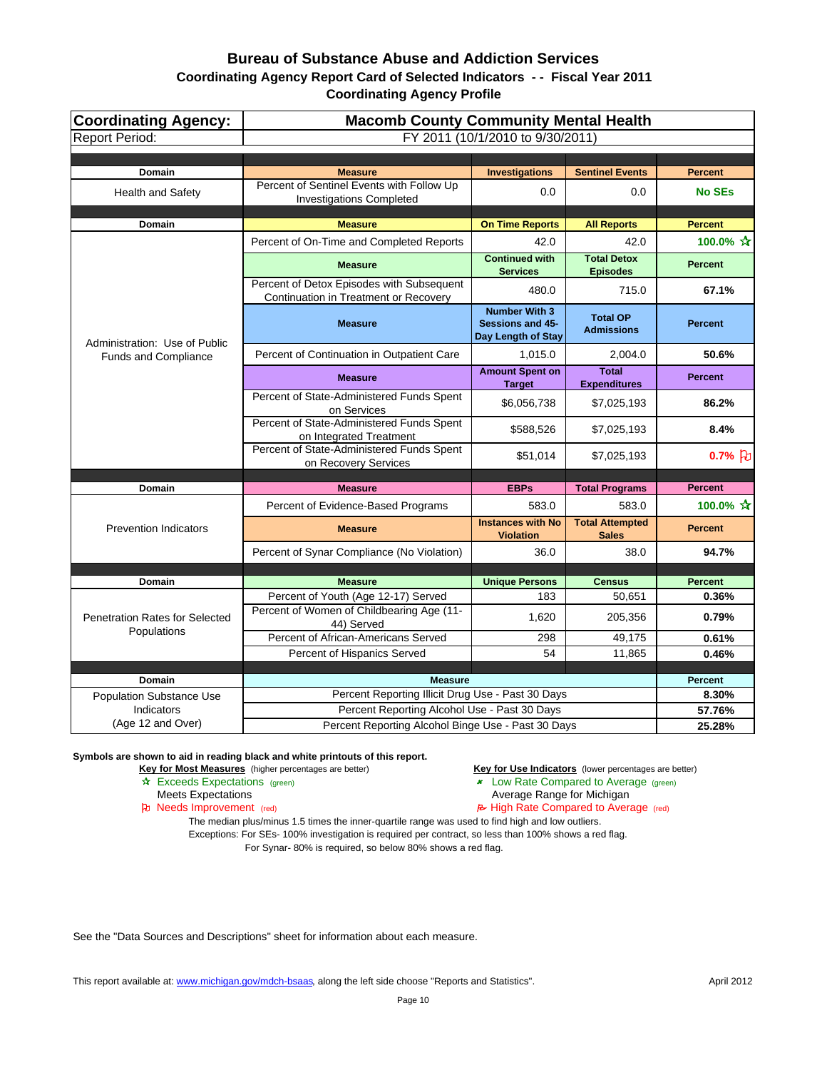| <b>Coordinating Agency:</b><br><b>Report Period:</b> | <b>Macomb County Community Mental Health</b>                                                       | FY 2011 (10/1/2010 to 9/30/2011)                                      |                                        |                |
|------------------------------------------------------|----------------------------------------------------------------------------------------------------|-----------------------------------------------------------------------|----------------------------------------|----------------|
|                                                      |                                                                                                    |                                                                       |                                        |                |
| <b>Domain</b>                                        | <b>Measure</b>                                                                                     | <b>Investigations</b>                                                 | <b>Sentinel Events</b>                 | <b>Percent</b> |
| <b>Health and Safety</b>                             | Percent of Sentinel Events with Follow Up<br><b>Investigations Completed</b>                       | 0.0                                                                   | 0.0                                    | <b>No SEs</b>  |
| Domain                                               | <b>Measure</b>                                                                                     | <b>On Time Reports</b>                                                | <b>All Reports</b>                     | <b>Percent</b> |
|                                                      | Percent of On-Time and Completed Reports                                                           | 42.0                                                                  | 42.0                                   | 100.0% ☆       |
|                                                      | <b>Measure</b>                                                                                     | <b>Continued with</b><br><b>Services</b>                              | <b>Total Detox</b><br><b>Episodes</b>  | <b>Percent</b> |
|                                                      | Percent of Detox Episodes with Subsequent<br>Continuation in Treatment or Recovery                 | 480.0                                                                 | 715.0                                  | 67.1%          |
| Administration: Use of Public                        | <b>Measure</b>                                                                                     | <b>Number With 3</b><br><b>Sessions and 45-</b><br>Day Length of Stay | <b>Total OP</b><br><b>Admissions</b>   | <b>Percent</b> |
| Funds and Compliance                                 | Percent of Continuation in Outpatient Care                                                         | 1,015.0                                                               | 2,004.0                                | 50.6%          |
|                                                      | <b>Measure</b>                                                                                     | <b>Amount Spent on</b><br><b>Target</b>                               | <b>Total</b><br><b>Expenditures</b>    | <b>Percent</b> |
|                                                      | Percent of State-Administered Funds Spent<br>on Services                                           | \$6,056,738                                                           | \$7,025,193                            | 86.2%          |
|                                                      | Percent of State-Administered Funds Spent<br>on Integrated Treatment                               | \$588,526                                                             | \$7,025,193                            | 8.4%           |
|                                                      | Percent of State-Administered Funds Spent<br>on Recovery Services                                  | \$51,014                                                              | \$7,025,193                            | $0.7%$ [b]     |
| <b>Domain</b>                                        | <b>Measure</b>                                                                                     |                                                                       | <b>Total Programs</b>                  | <b>Percent</b> |
|                                                      |                                                                                                    | <b>EBPs</b>                                                           |                                        |                |
|                                                      | Percent of Evidence-Based Programs                                                                 | 583.0                                                                 | 583.0                                  | 100.0% ☆       |
| <b>Prevention Indicators</b>                         | <b>Measure</b>                                                                                     | <b>Instances with No</b><br><b>Violation</b>                          | <b>Total Attempted</b><br><b>Sales</b> | <b>Percent</b> |
|                                                      | Percent of Synar Compliance (No Violation)                                                         | 36.0                                                                  | 38.0                                   | 94.7%          |
|                                                      |                                                                                                    |                                                                       |                                        |                |
| <b>Domain</b>                                        | <b>Measure</b>                                                                                     | <b>Unique Persons</b>                                                 | <b>Census</b>                          | <b>Percent</b> |
| <b>Penetration Rates for Selected</b>                | Percent of Youth (Age 12-17) Served<br>Percent of Women of Childbearing Age (11-                   | 183<br>1,620                                                          | 50,651<br>205,356                      | 0.36%<br>0.79% |
| Populations                                          | 44) Served<br>Percent of African-Americans Served                                                  | 298                                                                   | 49,175                                 | 0.61%          |
|                                                      | Percent of Hispanics Served                                                                        | 54                                                                    | 11,865                                 | 0.46%          |
|                                                      |                                                                                                    |                                                                       |                                        |                |
| <b>Domain</b>                                        | <b>Measure</b>                                                                                     |                                                                       |                                        | <b>Percent</b> |
| <b>Population Substance Use</b>                      | Percent Reporting Illicit Drug Use - Past 30 Days                                                  |                                                                       |                                        | 8.30%          |
| Indicators<br>(Age 12 and Over)                      | Percent Reporting Alcohol Use - Past 30 Days<br>Percent Reporting Alcohol Binge Use - Past 30 Days |                                                                       |                                        | 57.76%         |
|                                                      |                                                                                                    |                                                                       |                                        | 25.28%         |

**Symbols are shown to aid in reading black and white printouts of this report.**

**Key for Most Measures** (higher percentages are better) **Key for Use Indicators** (lower percentages are better)

- 
- Exceeds Expectations (green) Low Rate Compared to Average (green)
	- Meets Expectations **Average Range for Michigan**
- Needs Improvement (red) High Rate Compared to Average (red)

The median plus/minus 1.5 times the inner-quartile range was used to find high and low outliers. Exceptions: For SEs- 100% investigation is required per contract, so less than 100% shows a red flag. For Synar- 80% is required, so below 80% shows a red flag.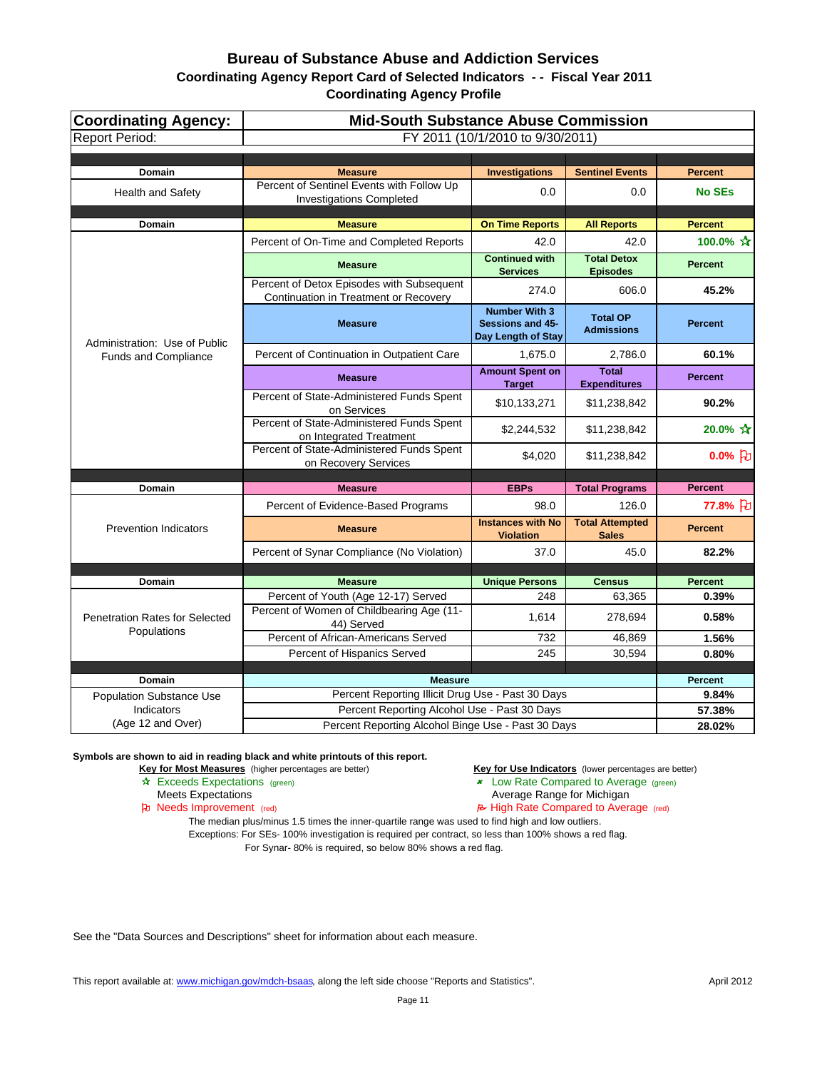| <b>Coordinating Agency:</b>           | <b>Mid-South Substance Abuse Commission</b>                                        |                                                                |                                        |                          |  |
|---------------------------------------|------------------------------------------------------------------------------------|----------------------------------------------------------------|----------------------------------------|--------------------------|--|
| <b>Report Period:</b>                 |                                                                                    | FY 2011 (10/1/2010 to 9/30/2011)                               |                                        |                          |  |
| <b>Domain</b>                         | <b>Measure</b>                                                                     | <b>Investigations</b>                                          | <b>Sentinel Events</b>                 | <b>Percent</b>           |  |
| <b>Health and Safety</b>              | Percent of Sentinel Events with Follow Up<br><b>Investigations Completed</b>       | 0.0                                                            | 0.0                                    | <b>No SEs</b>            |  |
| <b>Domain</b>                         | <b>Measure</b>                                                                     | <b>On Time Reports</b>                                         | <b>All Reports</b>                     | <b>Percent</b>           |  |
|                                       | Percent of On-Time and Completed Reports                                           | 42.0                                                           | 42.0                                   | 100.0% ☆                 |  |
|                                       | <b>Measure</b>                                                                     | <b>Continued with</b><br><b>Services</b>                       | <b>Total Detox</b><br><b>Episodes</b>  | <b>Percent</b>           |  |
|                                       | Percent of Detox Episodes with Subsequent<br>Continuation in Treatment or Recovery | 274.0                                                          | 606.0                                  | 45.2%                    |  |
| Administration: Use of Public         | <b>Measure</b>                                                                     | <b>Number With 3</b><br>Sessions and 45-<br>Day Length of Stay | <b>Total OP</b><br><b>Admissions</b>   | <b>Percent</b>           |  |
| Funds and Compliance                  | Percent of Continuation in Outpatient Care                                         | 1,675.0                                                        | 2,786.0                                | 60.1%                    |  |
|                                       | <b>Measure</b>                                                                     | <b>Amount Spent on</b><br><b>Target</b>                        | <b>Total</b><br><b>Expenditures</b>    | <b>Percent</b>           |  |
|                                       | Percent of State-Administered Funds Spent<br>on Services                           | \$10,133,271                                                   | \$11,238,842                           | 90.2%                    |  |
|                                       | Percent of State-Administered Funds Spent<br>on Integrated Treatment               | \$2,244,532                                                    | \$11,238,842                           | 20.0% $\mathbf{\hat{x}}$ |  |
|                                       | Percent of State-Administered Funds Spent<br>on Recovery Services                  | \$4,020                                                        | \$11,238,842                           | $0.0%$ 凡                 |  |
| Domain                                | <b>Measure</b>                                                                     | <b>EBPs</b>                                                    | <b>Total Programs</b>                  | <b>Percent</b>           |  |
|                                       | Percent of Evidence-Based Programs                                                 | 98.0                                                           | 126.0                                  | 77.8% }                  |  |
| <b>Prevention Indicators</b>          | <b>Measure</b>                                                                     | <b>Instances with No</b><br><b>Violation</b>                   | <b>Total Attempted</b><br><b>Sales</b> | <b>Percent</b>           |  |
|                                       | Percent of Synar Compliance (No Violation)                                         | 37.0                                                           | 45.0                                   | 82.2%                    |  |
|                                       |                                                                                    |                                                                |                                        |                          |  |
| <b>Domain</b>                         | <b>Measure</b><br>Percent of Youth (Age 12-17) Served                              | <b>Unique Persons</b><br>248                                   | <b>Census</b><br>63,365                | <b>Percent</b><br>0.39%  |  |
| <b>Penetration Rates for Selected</b> | Percent of Women of Childbearing Age (11-<br>44) Served                            | 1,614                                                          | 278,694                                | 0.58%                    |  |
| Populations                           | Percent of African-Americans Served                                                | 732                                                            | 46,869                                 | 1.56%                    |  |
|                                       | Percent of Hispanics Served                                                        | 245                                                            | 30,594                                 | 0.80%                    |  |
| Domain                                | <b>Measure</b>                                                                     |                                                                |                                        | <b>Percent</b>           |  |
| <b>Population Substance Use</b>       | Percent Reporting Illicit Drug Use - Past 30 Days                                  |                                                                |                                        | 9.84%                    |  |
| Indicators                            | Percent Reporting Alcohol Use - Past 30 Days                                       |                                                                |                                        | 57.38%                   |  |
| (Age 12 and Over)                     | Percent Reporting Alcohol Binge Use - Past 30 Days                                 |                                                                |                                        | 28.02%                   |  |

#### **Symbols are shown to aid in reading black and white printouts of this report.**

**Key for Most Measures** (higher percentages are better) **Key for Use Indicators** (lower percentages are better)

- 
- Exceeds Expectations (green) Low Rate Compared to Average (green)
	- Meets Expectations **Average Range for Michigan**
- Needs Improvement (red) High Rate Compared to Average (red)

The median plus/minus 1.5 times the inner-quartile range was used to find high and low outliers. Exceptions: For SEs- 100% investigation is required per contract, so less than 100% shows a red flag. For Synar- 80% is required, so below 80% shows a red flag.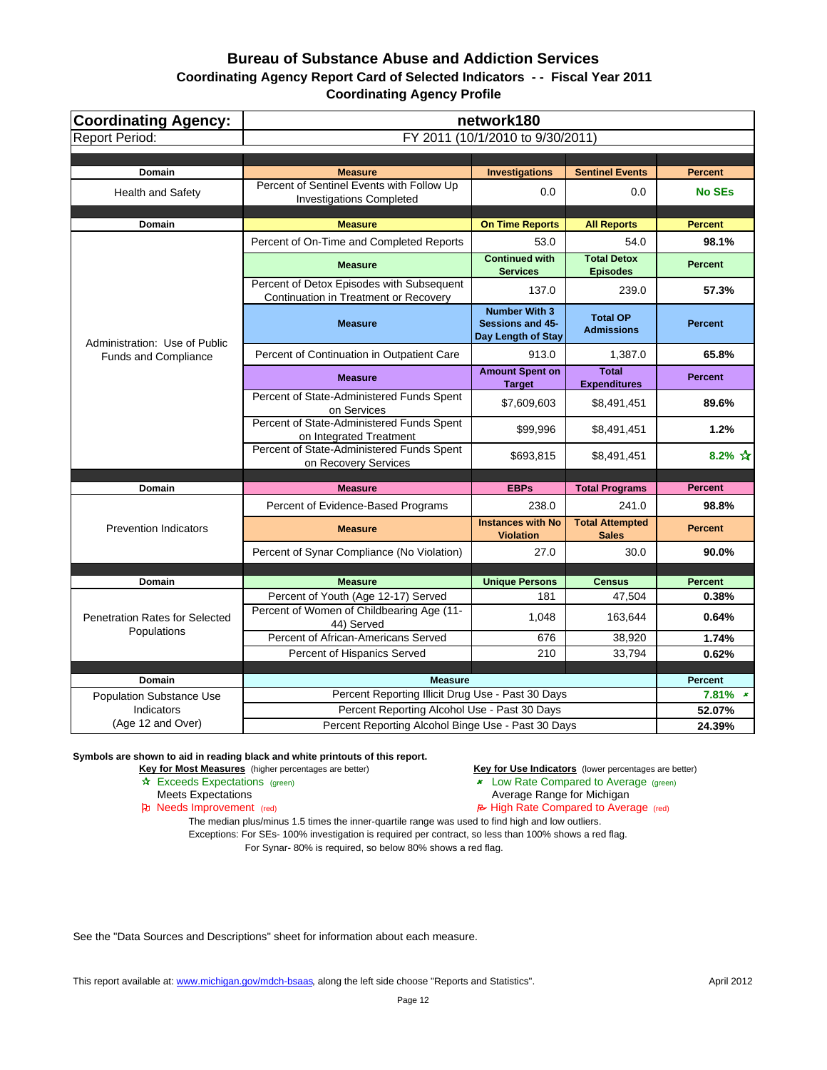| <b>Coordinating Agency:</b>               |                                                                                    | network180                                                     |                                       |                              |
|-------------------------------------------|------------------------------------------------------------------------------------|----------------------------------------------------------------|---------------------------------------|------------------------------|
| <b>Report Period:</b>                     |                                                                                    | FY 2011 (10/1/2010 to 9/30/2011)                               |                                       |                              |
|                                           |                                                                                    |                                                                |                                       |                              |
| Domain                                    | <b>Measure</b>                                                                     | <b>Investigations</b>                                          | <b>Sentinel Events</b>                | <b>Percent</b>               |
| <b>Health and Safety</b>                  | Percent of Sentinel Events with Follow Up<br><b>Investigations Completed</b>       | 0.0                                                            | 0.0                                   | <b>No SEs</b>                |
| <b>Domain</b>                             | <b>Measure</b>                                                                     | <b>On Time Reports</b>                                         | <b>All Reports</b>                    | <b>Percent</b>               |
|                                           | Percent of On-Time and Completed Reports                                           | 53.0                                                           | 54.0                                  | 98.1%                        |
|                                           | <b>Measure</b>                                                                     | <b>Continued with</b><br><b>Services</b>                       | <b>Total Detox</b><br><b>Episodes</b> | <b>Percent</b>               |
|                                           | Percent of Detox Episodes with Subsequent<br>Continuation in Treatment or Recovery | 137.0                                                          | 239.0                                 | 57.3%                        |
| Administration: Use of Public             | <b>Measure</b>                                                                     | <b>Number With 3</b><br>Sessions and 45-<br>Day Length of Stay | <b>Total OP</b><br><b>Admissions</b>  | <b>Percent</b>               |
| Funds and Compliance                      | Percent of Continuation in Outpatient Care                                         | 913.0                                                          | 1,387.0                               | 65.8%                        |
|                                           | <b>Measure</b>                                                                     | <b>Amount Spent on</b><br><b>Target</b>                        | <b>Total</b><br><b>Expenditures</b>   | <b>Percent</b>               |
|                                           | Percent of State-Administered Funds Spent<br>on Services                           | \$7,609,603                                                    | \$8,491,451                           | 89.6%                        |
|                                           | Percent of State-Administered Funds Spent<br>on Integrated Treatment               | \$99,996                                                       | \$8,491,451                           | 1.2%                         |
|                                           | Percent of State-Administered Funds Spent<br>on Recovery Services                  | \$693,815                                                      | \$8,491,451                           | 8.2% $\frac{1}{11}$          |
| Domain                                    | <b>Measure</b>                                                                     | <b>EBPs</b>                                                    | <b>Total Programs</b>                 | <b>Percent</b>               |
|                                           | Percent of Evidence-Based Programs                                                 | 238.0                                                          | 241.0                                 | 98.8%                        |
|                                           |                                                                                    | <b>Instances with No</b>                                       | <b>Total Attempted</b>                |                              |
| <b>Prevention Indicators</b>              | <b>Measure</b>                                                                     | <b>Violation</b>                                               | <b>Sales</b>                          | <b>Percent</b>               |
|                                           | Percent of Synar Compliance (No Violation)                                         | 27.0                                                           | 30.0                                  | 90.0%                        |
|                                           | <b>Measure</b>                                                                     |                                                                |                                       | <b>Percent</b>               |
| Domain                                    | Percent of Youth (Age 12-17) Served                                                | <b>Unique Persons</b><br>181                                   | <b>Census</b><br>47,504               | 0.38%                        |
| <b>Penetration Rates for Selected</b>     | Percent of Women of Childbearing Age (11-<br>44) Served                            | 1,048                                                          | 163,644                               | 0.64%                        |
| Populations                               | Percent of African-Americans Served                                                | 676                                                            | 38,920                                | 1.74%                        |
|                                           | Percent of Hispanics Served                                                        | 210                                                            | 33,794                                | 0.62%                        |
|                                           |                                                                                    |                                                                |                                       |                              |
| Domain<br><b>Population Substance Use</b> | <b>Measure</b><br>Percent Reporting Illicit Drug Use - Past 30 Days                |                                                                |                                       | <b>Percent</b><br>$7.81\%$ * |
| <b>Indicators</b>                         | Percent Reporting Alcohol Use - Past 30 Days                                       |                                                                |                                       | 52.07%                       |
| (Age 12 and Over)                         | Percent Reporting Alcohol Binge Use - Past 30 Days                                 |                                                                |                                       | 24.39%                       |

**Symbols are shown to aid in reading black and white printouts of this report.**

**Key for Most Measures** (higher percentages are better) **Key for Use Indicators** (lower percentages are better)

- 
- Exceeds Expectations (green) Low Rate Compared to Average (green)
	- Meets Expectations **Average Range for Michigan**
- Needs Improvement (red) High Rate Compared to Average (red)

The median plus/minus 1.5 times the inner-quartile range was used to find high and low outliers. Exceptions: For SEs- 100% investigation is required per contract, so less than 100% shows a red flag. For Synar- 80% is required, so below 80% shows a red flag.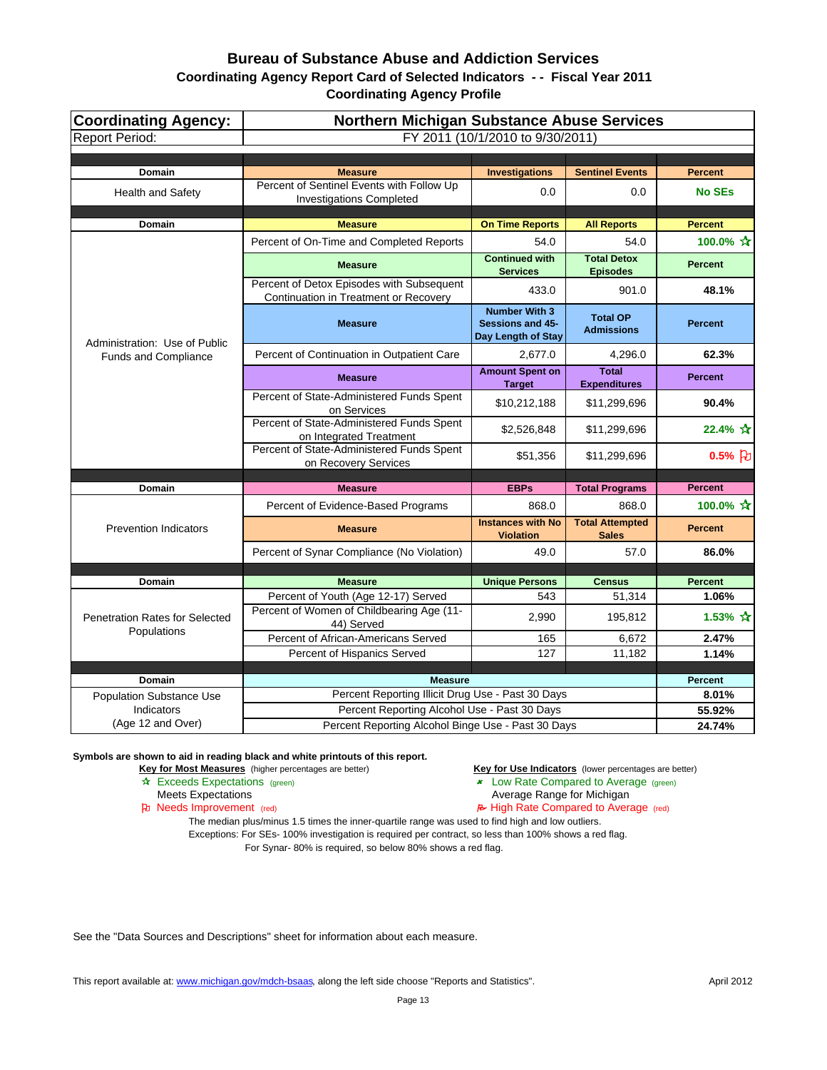| Coordinating Agency:<br><b>Report Period:</b> | Northern Michigan Substance Abuse Services<br>FY 2011 (10/1/2010 to 9/30/2011)                    |                                                                |                                       |                          |
|-----------------------------------------------|---------------------------------------------------------------------------------------------------|----------------------------------------------------------------|---------------------------------------|--------------------------|
|                                               |                                                                                                   |                                                                |                                       |                          |
| <b>Domain</b>                                 | <b>Measure</b>                                                                                    | <b>Investigations</b>                                          | <b>Sentinel Events</b>                | <b>Percent</b>           |
| <b>Health and Safety</b>                      | Percent of Sentinel Events with Follow Up<br><b>Investigations Completed</b>                      | 0.0                                                            | 0.0                                   | <b>No SEs</b>            |
| <b>Domain</b>                                 | <b>Measure</b>                                                                                    | <b>On Time Reports</b>                                         | <b>All Reports</b>                    | <b>Percent</b>           |
|                                               | Percent of On-Time and Completed Reports                                                          | 54.0                                                           | 54.0                                  | 100.0% ☆                 |
|                                               | <b>Measure</b>                                                                                    | <b>Continued with</b><br><b>Services</b>                       | <b>Total Detox</b><br><b>Episodes</b> | <b>Percent</b>           |
|                                               | Percent of Detox Episodes with Subsequent<br>Continuation in Treatment or Recovery                | 433.0                                                          | 901.0                                 | 48.1%                    |
| Administration: Use of Public                 | <b>Measure</b>                                                                                    | <b>Number With 3</b><br>Sessions and 45-<br>Day Length of Stay | <b>Total OP</b><br><b>Admissions</b>  | <b>Percent</b>           |
| <b>Funds and Compliance</b>                   | Percent of Continuation in Outpatient Care                                                        | 2,677.0                                                        | 4,296.0                               | 62.3%                    |
|                                               | <b>Measure</b>                                                                                    | <b>Amount Spent on</b><br><b>Target</b>                        | <b>Total</b><br><b>Expenditures</b>   | <b>Percent</b>           |
|                                               | Percent of State-Administered Funds Spent<br>on Services                                          | \$10,212,188                                                   | \$11,299,696                          | 90.4%                    |
|                                               | Percent of State-Administered Funds Spent<br>on Integrated Treatment                              | \$2,526,848                                                    | \$11,299,696                          | 22.4% $\approx$          |
|                                               | Percent of State-Administered Funds Spent<br>on Recovery Services                                 | \$51,356                                                       | \$11,299,696                          | $0.5%$ $\uparrow$        |
|                                               | <b>Measure</b>                                                                                    | <b>EBPs</b>                                                    |                                       | <b>Percent</b>           |
| Domain                                        | Percent of Evidence-Based Programs                                                                | 868.0                                                          | <b>Total Programs</b><br>868.0        | 100.0% ☆                 |
|                                               |                                                                                                   | <b>Instances with No</b>                                       | <b>Total Attempted</b>                |                          |
| <b>Prevention Indicators</b>                  | <b>Measure</b>                                                                                    | <b>Violation</b>                                               | <b>Sales</b>                          | <b>Percent</b>           |
|                                               | Percent of Synar Compliance (No Violation)                                                        | 49.0                                                           | 57.0                                  | 86.0%                    |
|                                               |                                                                                                   |                                                                |                                       |                          |
| <b>Domain</b>                                 | <b>Measure</b>                                                                                    | <b>Unique Persons</b>                                          | <b>Census</b>                         | <b>Percent</b>           |
| Penetration Rates for Selected                | Percent of Youth (Age 12-17) Served<br>Percent of Women of Childbearing Age (11-<br>44) Served    | 543<br>2,990                                                   | 51,314<br>195,812                     | 1.06%<br>1.53% $\hat{X}$ |
| Populations                                   | Percent of African-Americans Served                                                               | 165                                                            | 6,672                                 | 2.47%                    |
|                                               | Percent of Hispanics Served                                                                       | 127                                                            | 11,182                                | 1.14%                    |
|                                               |                                                                                                   |                                                                |                                       |                          |
| <b>Domain</b>                                 | <b>Measure</b>                                                                                    |                                                                |                                       | <b>Percent</b>           |
| <b>Population Substance Use</b><br>Indicators | Percent Reporting Illicit Drug Use - Past 30 Days<br>Percent Reporting Alcohol Use - Past 30 Days |                                                                |                                       | 8.01%<br>55.92%          |
| (Age 12 and Over)                             | Percent Reporting Alcohol Binge Use - Past 30 Days                                                |                                                                |                                       | 24.74%                   |

**Symbols are shown to aid in reading black and white printouts of this report.**

**Key for Most Measures** (higher percentages are better) **Key for Use Indicators** (lower percentages are better)

- 
- Exceeds Expectations (green) Low Rate Compared to Average (green)
	- Meets Expectations **Average Range for Michigan**
- Needs Improvement (red) High Rate Compared to Average (red)

The median plus/minus 1.5 times the inner-quartile range was used to find high and low outliers. Exceptions: For SEs- 100% investigation is required per contract, so less than 100% shows a red flag. For Synar- 80% is required, so below 80% shows a red flag.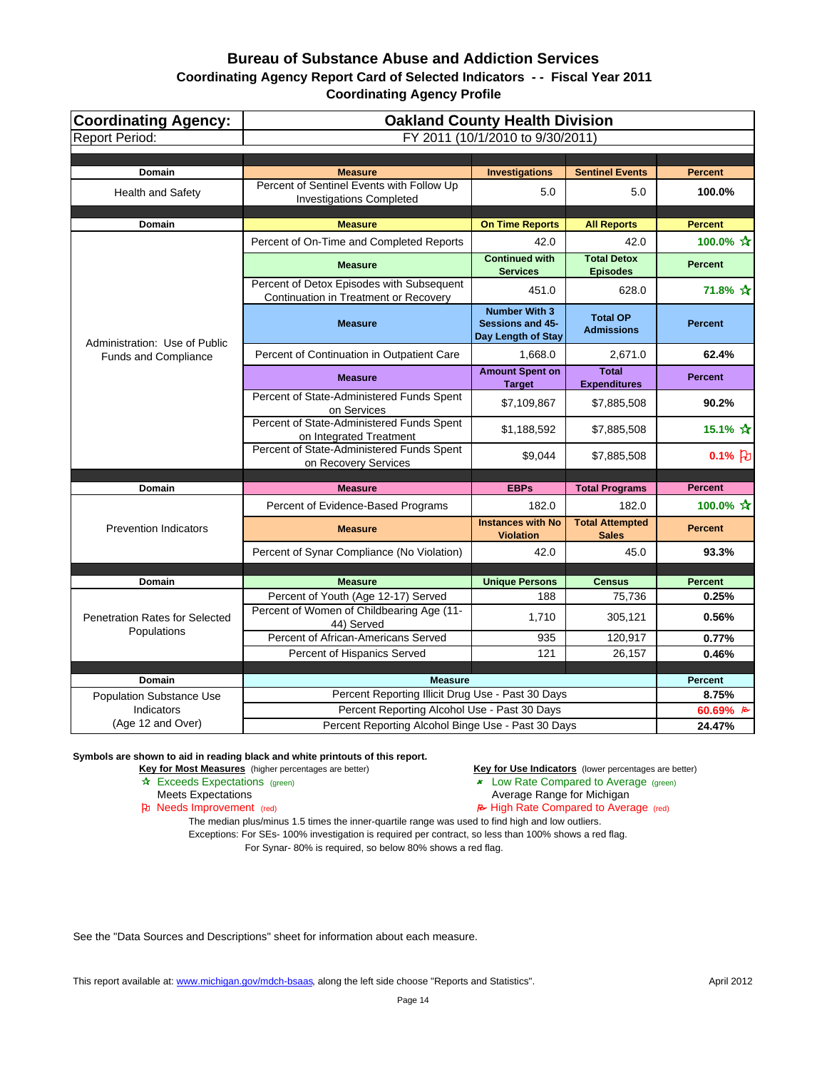| Coordinating Agency:<br><b>Report Period:</b> | <b>Oakland County Health Division</b><br>FY 2011 (10/1/2010 to 9/30/2011)          |                                                                       |                                        |                     |
|-----------------------------------------------|------------------------------------------------------------------------------------|-----------------------------------------------------------------------|----------------------------------------|---------------------|
|                                               |                                                                                    |                                                                       |                                        |                     |
| <b>Domain</b>                                 | <b>Measure</b>                                                                     | <b>Investigations</b>                                                 | <b>Sentinel Events</b>                 | <b>Percent</b>      |
| <b>Health and Safety</b>                      | Percent of Sentinel Events with Follow Up<br><b>Investigations Completed</b>       | 5.0                                                                   | 5.0                                    | 100.0%              |
| <b>Domain</b>                                 | <b>Measure</b>                                                                     | <b>On Time Reports</b>                                                | <b>All Reports</b>                     | <b>Percent</b>      |
|                                               | Percent of On-Time and Completed Reports                                           | 42.0                                                                  | 42.0                                   | 100.0% ☆            |
|                                               | <b>Measure</b>                                                                     | <b>Continued with</b><br><b>Services</b>                              | <b>Total Detox</b><br><b>Episodes</b>  | <b>Percent</b>      |
|                                               | Percent of Detox Episodes with Subsequent<br>Continuation in Treatment or Recovery | 451.0                                                                 | 628.0                                  | 71.8% ☆             |
| Administration: Use of Public                 | <b>Measure</b>                                                                     | <b>Number With 3</b><br><b>Sessions and 45-</b><br>Day Length of Stay | <b>Total OP</b><br><b>Admissions</b>   | <b>Percent</b>      |
| <b>Funds and Compliance</b>                   | Percent of Continuation in Outpatient Care                                         | 1,668.0                                                               | 2,671.0                                | 62.4%               |
|                                               | <b>Measure</b>                                                                     | <b>Amount Spent on</b><br><b>Target</b>                               | <b>Total</b><br><b>Expenditures</b>    | <b>Percent</b>      |
|                                               | Percent of State-Administered Funds Spent<br>on Services                           | \$7,109,867                                                           | \$7,885,508                            | 90.2%               |
|                                               | Percent of State-Administered Funds Spent<br>on Integrated Treatment               | \$1,188,592                                                           | \$7,885,508                            | 15.1% ☆             |
|                                               | Percent of State-Administered Funds Spent<br>on Recovery Services                  | \$9,044                                                               | \$7,885,508                            | $0.1%$ <sub>2</sub> |
|                                               | <b>Measure</b>                                                                     | <b>EBPs</b>                                                           |                                        | <b>Percent</b>      |
| Domain                                        | Percent of Evidence-Based Programs                                                 | 182.0                                                                 | <b>Total Programs</b><br>182.0         | 100.0% ☆            |
| <b>Prevention Indicators</b>                  | <b>Measure</b>                                                                     | <b>Instances with No</b><br><b>Violation</b>                          | <b>Total Attempted</b><br><b>Sales</b> | <b>Percent</b>      |
|                                               | Percent of Synar Compliance (No Violation)                                         | 42.0                                                                  | 45.0                                   | 93.3%               |
|                                               |                                                                                    |                                                                       |                                        |                     |
| <b>Domain</b>                                 | <b>Measure</b>                                                                     | <b>Unique Persons</b>                                                 | <b>Census</b>                          | <b>Percent</b>      |
|                                               | Percent of Youth (Age 12-17) Served                                                | 188                                                                   | 75,736                                 | 0.25%               |
| Penetration Rates for Selected<br>Populations | Percent of Women of Childbearing Age (11-<br>44) Served                            | 1,710                                                                 | 305,121                                | 0.56%               |
|                                               | Percent of African-Americans Served                                                | 935                                                                   | 120,917                                | 0.77%               |
|                                               | Percent of Hispanics Served                                                        | 121                                                                   | 26,157                                 | 0.46%               |
| <b>Domain</b>                                 | <b>Measure</b>                                                                     |                                                                       |                                        | Percent             |
| <b>Population Substance Use</b>               | Percent Reporting Illicit Drug Use - Past 30 Days                                  |                                                                       |                                        | 8.75%               |
| Indicators                                    | Percent Reporting Alcohol Use - Past 30 Days                                       |                                                                       |                                        | 60.69% B            |
| (Age 12 and Over)                             | Percent Reporting Alcohol Binge Use - Past 30 Days                                 |                                                                       |                                        | 24.47%              |

#### **Symbols are shown to aid in reading black and white printouts of this report.**

**Key for Most Measures** (higher percentages are better) **Key for Use Indicators** (lower percentages are better)

- 
- Exceeds Expectations (green) Low Rate Compared to Average (green)
	- Meets Expectations **Average Range for Michigan**
- Needs Improvement (red) High Rate Compared to Average (red)

The median plus/minus 1.5 times the inner-quartile range was used to find high and low outliers. Exceptions: For SEs- 100% investigation is required per contract, so less than 100% shows a red flag. For Synar- 80% is required, so below 80% shows a red flag.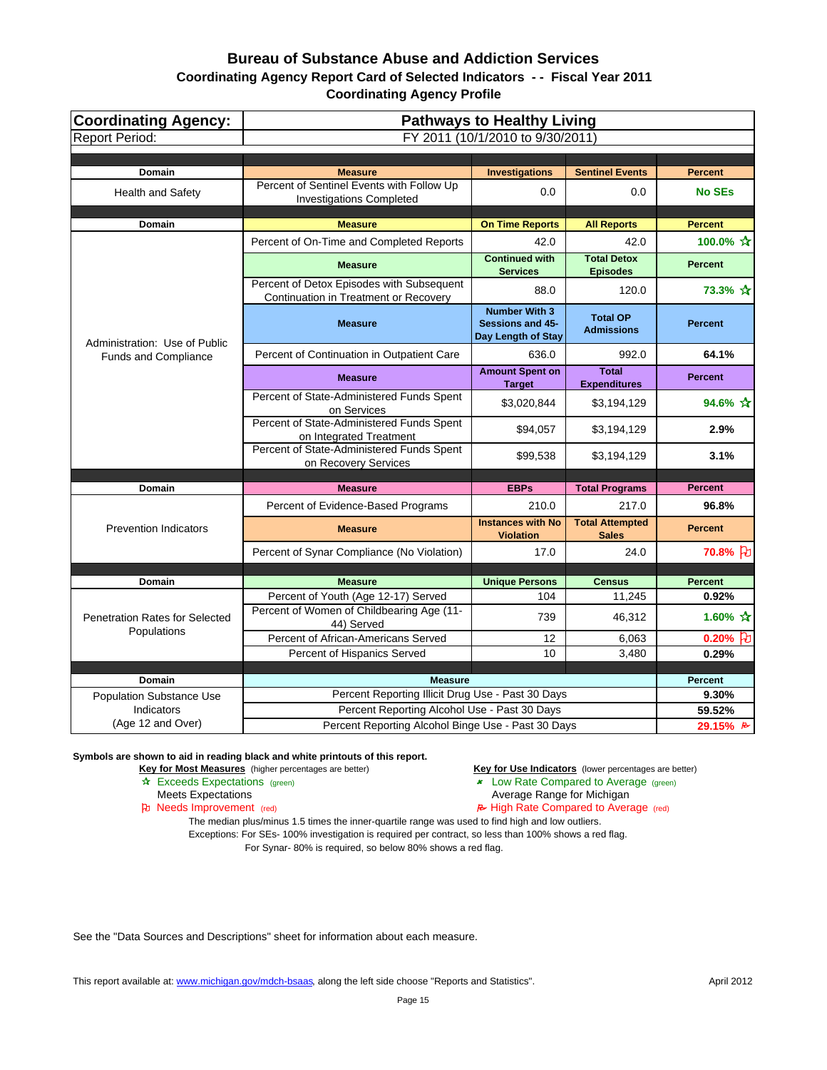| <b>Coordinating Agency:</b>               | <b>Pathways to Healthy Living</b>                                                              |                                                                |                                        |                                 |
|-------------------------------------------|------------------------------------------------------------------------------------------------|----------------------------------------------------------------|----------------------------------------|---------------------------------|
| <b>Report Period:</b>                     | FY 2011 (10/1/2010 to 9/30/2011)                                                               |                                                                |                                        |                                 |
|                                           |                                                                                                |                                                                |                                        |                                 |
| <b>Domain</b><br><b>Health and Safety</b> | <b>Measure</b><br>Percent of Sentinel Events with Follow Up<br><b>Investigations Completed</b> | <b>Investigations</b><br>0.0                                   | <b>Sentinel Events</b><br>0.0          | <b>Percent</b><br><b>No SEs</b> |
| <b>Domain</b>                             | <b>Measure</b>                                                                                 | <b>On Time Reports</b>                                         | <b>All Reports</b>                     | <b>Percent</b>                  |
|                                           | Percent of On-Time and Completed Reports                                                       | 42.0                                                           | 42.0                                   | 100.0% ☆                        |
|                                           |                                                                                                | <b>Continued with</b>                                          | <b>Total Detox</b>                     |                                 |
|                                           | <b>Measure</b>                                                                                 | <b>Services</b>                                                | <b>Episodes</b>                        | <b>Percent</b>                  |
|                                           | Percent of Detox Episodes with Subsequent<br>Continuation in Treatment or Recovery             | 88.0                                                           | 120.0                                  | 73.3% ☆                         |
| Administration: Use of Public             | <b>Measure</b>                                                                                 | <b>Number With 3</b><br>Sessions and 45-<br>Day Length of Stay | <b>Total OP</b><br><b>Admissions</b>   | <b>Percent</b>                  |
| Funds and Compliance                      | Percent of Continuation in Outpatient Care                                                     | 636.0                                                          | 992.0                                  | 64.1%                           |
|                                           | <b>Measure</b>                                                                                 | <b>Amount Spent on</b><br><b>Target</b>                        | <b>Total</b><br><b>Expenditures</b>    | <b>Percent</b>                  |
|                                           | Percent of State-Administered Funds Spent<br>on Services                                       | \$3,020,844                                                    | \$3,194,129                            | 94.6% ☆                         |
|                                           | Percent of State-Administered Funds Spent<br>on Integrated Treatment                           | \$94,057                                                       | \$3,194,129                            | 2.9%                            |
|                                           | Percent of State-Administered Funds Spent<br>on Recovery Services                              | \$99,538                                                       | \$3,194,129                            | 3.1%                            |
|                                           |                                                                                                |                                                                |                                        |                                 |
| Domain                                    | <b>Measure</b>                                                                                 | <b>EBPs</b>                                                    | <b>Total Programs</b>                  | <b>Percent</b>                  |
|                                           | Percent of Evidence-Based Programs                                                             | 210.0                                                          | 217.0                                  | 96.8%                           |
| <b>Prevention Indicators</b>              | <b>Measure</b>                                                                                 | <b>Instances with No</b><br><b>Violation</b>                   | <b>Total Attempted</b><br><b>Sales</b> | <b>Percent</b>                  |
|                                           | Percent of Synar Compliance (No Violation)                                                     | 17.0                                                           | 24.0                                   | 70.8% }                         |
|                                           |                                                                                                |                                                                |                                        |                                 |
| Domain                                    | <b>Measure</b>                                                                                 | <b>Unique Persons</b><br>104                                   | <b>Census</b>                          | <b>Percent</b>                  |
| <b>Penetration Rates for Selected</b>     | Percent of Youth (Age 12-17) Served<br>Percent of Women of Childbearing Age (11-               | 739                                                            | 11,245<br>46,312                       | 0.92%<br>1.60% $\frac{1}{11}$   |
| Populations                               | 44) Served<br>Percent of African-Americans Served                                              | 12                                                             | 6,063                                  | 0.20% $\beta$                   |
|                                           | Percent of Hispanics Served                                                                    | 10                                                             | 3,480                                  | 0.29%                           |
|                                           |                                                                                                |                                                                |                                        |                                 |
| <b>Domain</b>                             | <b>Measure</b>                                                                                 |                                                                |                                        | <b>Percent</b>                  |
| <b>Population Substance Use</b>           | Percent Reporting Illicit Drug Use - Past 30 Days                                              |                                                                |                                        | 9.30%                           |
| Indicators<br>(Age 12 and Over)           | Percent Reporting Alcohol Use - Past 30 Days                                                   |                                                                |                                        | 59.52%                          |
|                                           | Percent Reporting Alcohol Binge Use - Past 30 Days                                             |                                                                |                                        | 29.15% $\approx$                |

**Symbols are shown to aid in reading black and white printouts of this report.**

**Key for Most Measures** (higher percentages are better) **Key for Use Indicators** (lower percentages are better)

Exceeds Expectations (green) Low Rate Compared to Average (green)

Meets Expectations **Average Range for Michigan** 

- 
- Needs Improvement (red) High Rate Compared to Average (red)

The median plus/minus 1.5 times the inner-quartile range was used to find high and low outliers.

Exceptions: For SEs- 100% investigation is required per contract, so less than 100% shows a red flag. For Synar- 80% is required, so below 80% shows a red flag.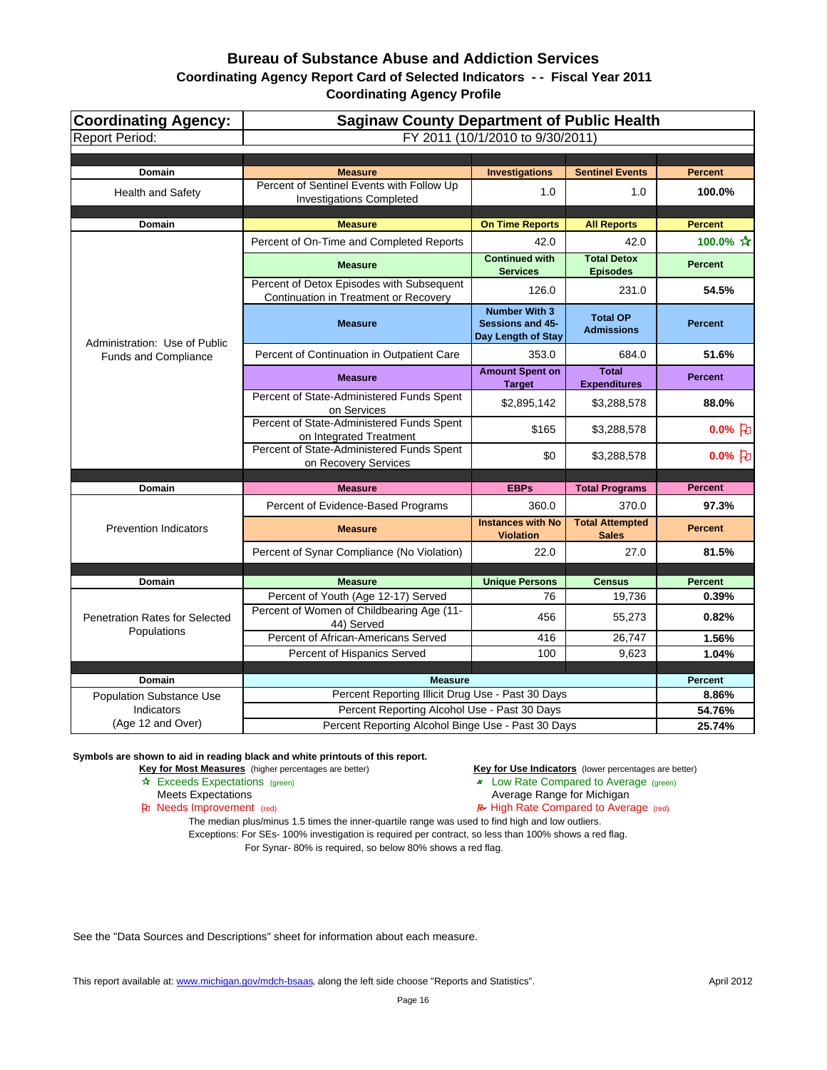| <b>Coordinating Agency:</b>                          | <b>Saginaw County Department of Public Health</b>                                  |                                                                       |                                        |                |
|------------------------------------------------------|------------------------------------------------------------------------------------|-----------------------------------------------------------------------|----------------------------------------|----------------|
| <b>Report Period:</b>                                | FY 2011 (10/1/2010 to 9/30/2011)                                                   |                                                                       |                                        |                |
|                                                      |                                                                                    |                                                                       |                                        |                |
| <b>Domain</b>                                        | <b>Measure</b>                                                                     | <b>Investigations</b>                                                 | <b>Sentinel Events</b>                 | <b>Percent</b> |
| <b>Health and Safety</b>                             | Percent of Sentinel Events with Follow Up<br><b>Investigations Completed</b>       | 1.0                                                                   | 1.0                                    | 100.0%         |
| Domain                                               | <b>Measure</b>                                                                     | <b>On Time Reports</b>                                                | <b>All Reports</b>                     | <b>Percent</b> |
|                                                      | Percent of On-Time and Completed Reports                                           | 42.0                                                                  | 42.0                                   | 100.0% ☆       |
|                                                      | <b>Measure</b>                                                                     | <b>Continued with</b><br><b>Services</b>                              | <b>Total Detox</b><br><b>Episodes</b>  | <b>Percent</b> |
|                                                      | Percent of Detox Episodes with Subsequent<br>Continuation in Treatment or Recovery | 126.0                                                                 | 231.0                                  | 54.5%          |
| Administration: Use of Public                        | <b>Measure</b>                                                                     | <b>Number With 3</b><br><b>Sessions and 45-</b><br>Day Length of Stay | <b>Total OP</b><br><b>Admissions</b>   | <b>Percent</b> |
| <b>Funds and Compliance</b>                          | Percent of Continuation in Outpatient Care                                         | 353.0                                                                 | 684.0                                  | 51.6%          |
|                                                      | <b>Measure</b>                                                                     | <b>Amount Spent on</b><br><b>Target</b>                               | <b>Total</b><br><b>Expenditures</b>    | <b>Percent</b> |
|                                                      | Percent of State-Administered Funds Spent<br>on Services                           | \$2,895,142                                                           | \$3,288,578                            | 88.0%          |
|                                                      | Percent of State-Administered Funds Spent<br>on Integrated Treatment               | \$165                                                                 | \$3,288,578                            | $0.0\%$ $ E $  |
|                                                      | Percent of State-Administered Funds Spent<br>on Recovery Services                  | \$0                                                                   | \$3,288,578                            | $0.0%$ [わ      |
|                                                      |                                                                                    |                                                                       |                                        | <b>Percent</b> |
| <b>Domain</b>                                        | <b>Measure</b>                                                                     | <b>EBPs</b>                                                           | <b>Total Programs</b>                  |                |
|                                                      | Percent of Evidence-Based Programs                                                 | 360.0                                                                 | 370.0                                  | 97.3%          |
| <b>Prevention Indicators</b>                         | <b>Measure</b>                                                                     | <b>Instances with No</b><br><b>Violation</b>                          | <b>Total Attempted</b><br><b>Sales</b> | <b>Percent</b> |
|                                                      | Percent of Synar Compliance (No Violation)                                         | 22.0                                                                  | 27.0                                   | 81.5%          |
|                                                      |                                                                                    |                                                                       |                                        |                |
| Domain                                               | <b>Measure</b>                                                                     | <b>Unique Persons</b>                                                 | <b>Census</b>                          | <b>Percent</b> |
|                                                      | Percent of Youth (Age 12-17) Served<br>Percent of Women of Childbearing Age (11-   | 76<br>456                                                             | 19,736<br>55,273                       | 0.39%<br>0.82% |
| <b>Penetration Rates for Selected</b><br>Populations | 44) Served                                                                         |                                                                       |                                        |                |
|                                                      | Percent of African-Americans Served                                                | 416                                                                   | 26,747                                 | 1.56%          |
|                                                      | Percent of Hispanics Served                                                        | 100                                                                   | 9,623                                  | 1.04%          |
| <b>Domain</b>                                        | <b>Measure</b>                                                                     |                                                                       |                                        | <b>Percent</b> |
| <b>Population Substance Use</b>                      |                                                                                    | Percent Reporting Illicit Drug Use - Past 30 Days                     |                                        | 8.86%          |
| Indicators                                           | Percent Reporting Alcohol Use - Past 30 Days                                       |                                                                       | 54.76%                                 |                |
| (Age 12 and Over)                                    | Percent Reporting Alcohol Binge Use - Past 30 Days                                 |                                                                       | 25.74%                                 |                |

**Symbols are shown to aid in reading black and white printouts of this report.**

**Key for Most Measures** (higher percentages are better) **Key for Use Indicators** (lower percentages are better)

- 
- 

Exceeds Expectations (green) Low Rate Compared to Average (green)

Meets Expectations **Average Range for Michigan** 

Needs Improvement (red) High Rate Compared to Average (red)

The median plus/minus 1.5 times the inner-quartile range was used to find high and low outliers. Exceptions: For SEs- 100% investigation is required per contract, so less than 100% shows a red flag. For Synar- 80% is required, so below 80% shows a red flag.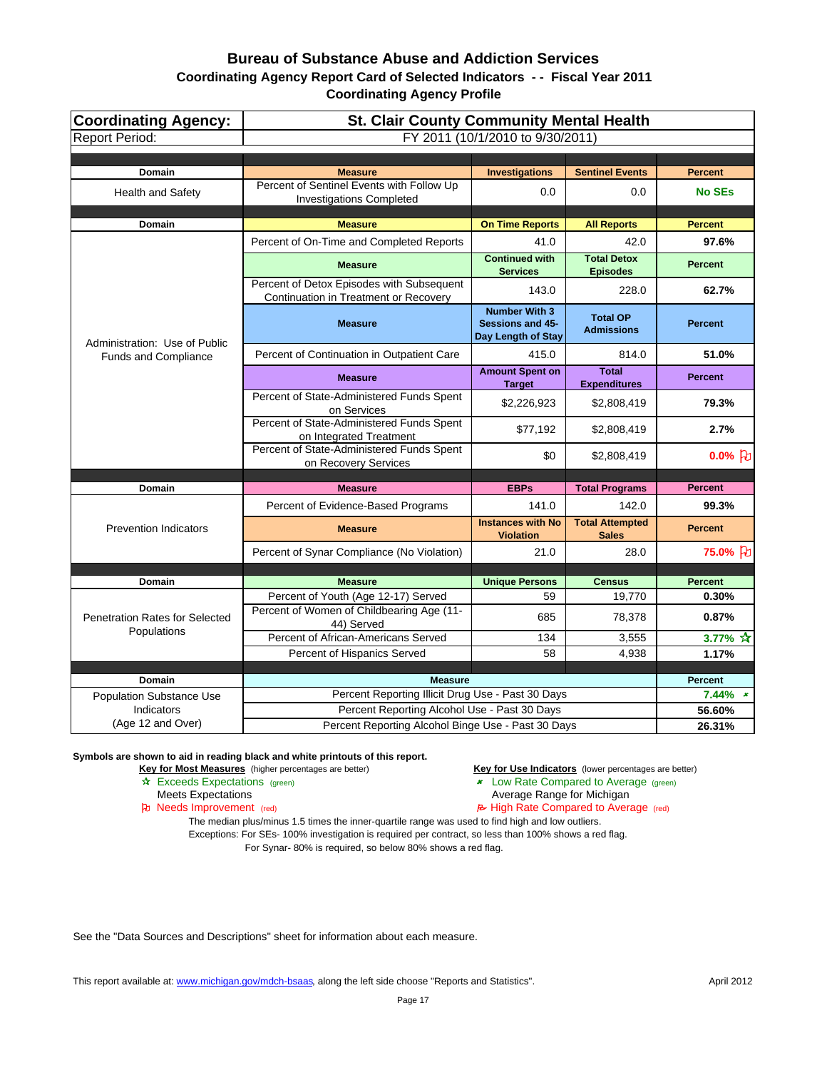| Coordinating Agency:<br><b>Report Period:</b> | <b>St. Clair County Community Mental Health</b><br>FY 2011 (10/1/2010 to 9/30/2011) |                                                                       |                                        |                    |
|-----------------------------------------------|-------------------------------------------------------------------------------------|-----------------------------------------------------------------------|----------------------------------------|--------------------|
|                                               |                                                                                     |                                                                       |                                        |                    |
| <b>Domain</b>                                 | <b>Measure</b>                                                                      | <b>Investigations</b>                                                 | <b>Sentinel Events</b>                 | <b>Percent</b>     |
| <b>Health and Safety</b>                      | Percent of Sentinel Events with Follow Up<br><b>Investigations Completed</b>        | 0.0                                                                   | 0.0                                    | <b>No SEs</b>      |
| <b>Domain</b>                                 | <b>Measure</b>                                                                      | <b>On Time Reports</b>                                                | <b>All Reports</b>                     | <b>Percent</b>     |
|                                               | Percent of On-Time and Completed Reports                                            | 41.0                                                                  | 42.0                                   | 97.6%              |
|                                               | <b>Measure</b>                                                                      | <b>Continued with</b><br><b>Services</b>                              | <b>Total Detox</b><br><b>Episodes</b>  | <b>Percent</b>     |
|                                               | Percent of Detox Episodes with Subsequent<br>Continuation in Treatment or Recovery  | 143.0                                                                 | 228.0                                  | 62.7%              |
| Administration: Use of Public                 | <b>Measure</b>                                                                      | <b>Number With 3</b><br><b>Sessions and 45-</b><br>Day Length of Stay | <b>Total OP</b><br><b>Admissions</b>   | <b>Percent</b>     |
| <b>Funds and Compliance</b>                   | Percent of Continuation in Outpatient Care                                          | 415.0                                                                 | 814.0                                  | 51.0%              |
|                                               | <b>Measure</b>                                                                      | <b>Amount Spent on</b><br><b>Target</b>                               | <b>Total</b><br><b>Expenditures</b>    | <b>Percent</b>     |
|                                               | Percent of State-Administered Funds Spent<br>on Services                            | \$2,226,923                                                           | \$2,808,419                            | 79.3%              |
|                                               | Percent of State-Administered Funds Spent<br>on Integrated Treatment                | \$77,192                                                              | \$2,808,419                            | 2.7%               |
|                                               | Percent of State-Administered Funds Spent<br>on Recovery Services                   | \$0                                                                   | \$2,808,419                            | $0.0%$ PU          |
|                                               |                                                                                     |                                                                       |                                        |                    |
| Domain                                        | <b>Measure</b>                                                                      | <b>EBPs</b><br>141.0                                                  | <b>Total Programs</b>                  | <b>Percent</b>     |
|                                               | Percent of Evidence-Based Programs                                                  |                                                                       | 142.0                                  | 99.3%              |
| <b>Prevention Indicators</b>                  | <b>Measure</b>                                                                      | <b>Instances with No</b><br><b>Violation</b>                          | <b>Total Attempted</b><br><b>Sales</b> | <b>Percent</b>     |
|                                               | Percent of Synar Compliance (No Violation)                                          | 21.0                                                                  | 28.0                                   | 75.0% }            |
|                                               |                                                                                     |                                                                       |                                        |                    |
| <b>Domain</b>                                 | <b>Measure</b>                                                                      | <b>Unique Persons</b>                                                 | <b>Census</b>                          | <b>Percent</b>     |
| <b>Penetration Rates for Selected</b>         | Percent of Youth (Age 12-17) Served<br>Percent of Women of Childbearing Age (11-    | 59<br>685                                                             | 19,770<br>78,378                       | 0.30%<br>0.87%     |
| Populations                                   | 44) Served<br>Percent of African-Americans Served                                   | 134                                                                   |                                        |                    |
|                                               | Percent of Hispanics Served                                                         | 58                                                                    | 3,555<br>4,938                         | 3.77% $*$<br>1.17% |
|                                               |                                                                                     |                                                                       |                                        |                    |
| Domain                                        | <b>Measure</b>                                                                      |                                                                       |                                        | <b>Percent</b>     |
| <b>Population Substance Use</b>               | Percent Reporting Illicit Drug Use - Past 30 Days                                   |                                                                       |                                        | $7.44\%$ *         |
| Indicators                                    | Percent Reporting Alcohol Use - Past 30 Days                                        |                                                                       |                                        | 56.60%             |
| (Age 12 and Over)                             | Percent Reporting Alcohol Binge Use - Past 30 Days                                  |                                                                       |                                        | 26.31%             |

#### **Symbols are shown to aid in reading black and white printouts of this report.**

**Key for Most Measures** (higher percentages are better) **Key for Use Indicators** (lower percentages are better)

- 
- Exceeds Expectations (green) Low Rate Compared to Average (green)
	- Meets Expectations **Average Range for Michigan**
- Needs Improvement (red) High Rate Compared to Average (red)

The median plus/minus 1.5 times the inner-quartile range was used to find high and low outliers. Exceptions: For SEs- 100% investigation is required per contract, so less than 100% shows a red flag. For Synar- 80% is required, so below 80% shows a red flag.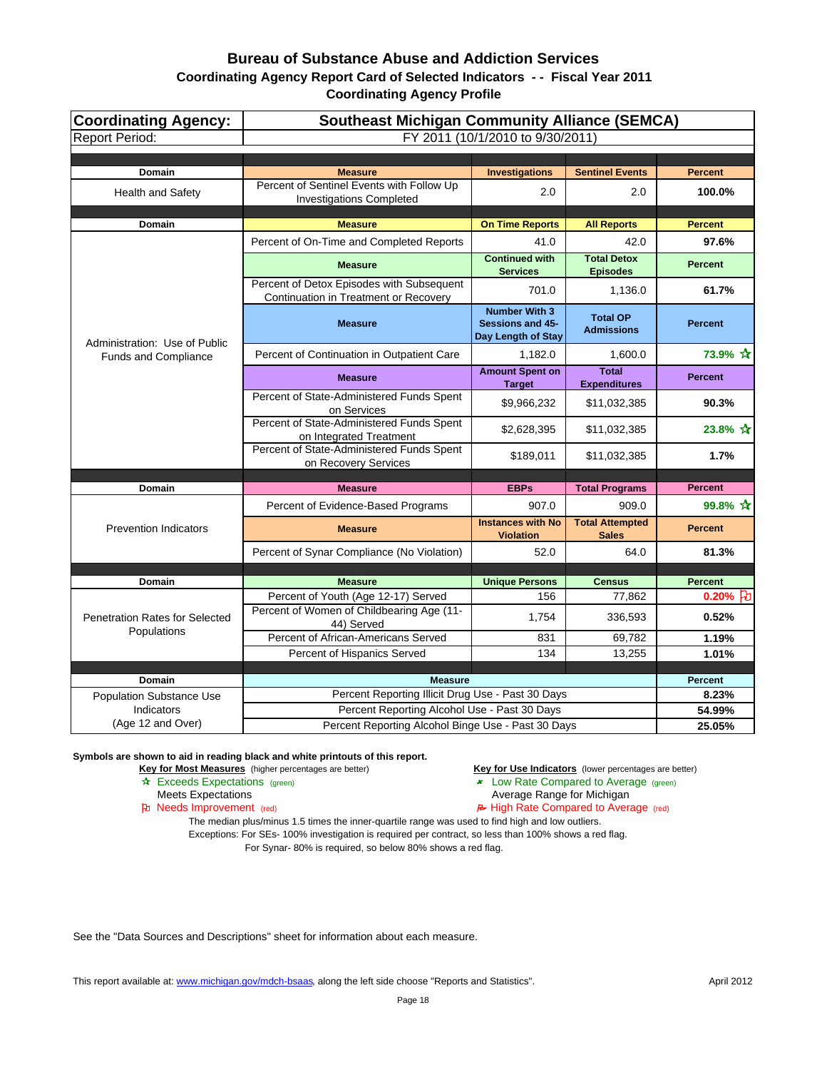| Coordinating Agency:<br><b>Report Period:</b> | <b>Southeast Michigan Community Alliance (SEMCA)</b><br>FY 2011 (10/1/2010 to 9/30/2011) |                                                                       |                                        |                     |
|-----------------------------------------------|------------------------------------------------------------------------------------------|-----------------------------------------------------------------------|----------------------------------------|---------------------|
|                                               |                                                                                          |                                                                       |                                        |                     |
| <b>Domain</b>                                 | <b>Measure</b>                                                                           | <b>Investigations</b>                                                 | <b>Sentinel Events</b>                 | <b>Percent</b>      |
| <b>Health and Safety</b>                      | Percent of Sentinel Events with Follow Up<br><b>Investigations Completed</b>             | 2.0                                                                   | 2.0                                    | 100.0%              |
| <b>Domain</b>                                 | <b>Measure</b>                                                                           | <b>On Time Reports</b>                                                | <b>All Reports</b>                     | <b>Percent</b>      |
|                                               | Percent of On-Time and Completed Reports                                                 | 41.0                                                                  | 42.0                                   | 97.6%               |
|                                               | <b>Measure</b>                                                                           | <b>Continued with</b><br><b>Services</b>                              | <b>Total Detox</b><br><b>Episodes</b>  | <b>Percent</b>      |
|                                               | Percent of Detox Episodes with Subsequent<br>Continuation in Treatment or Recovery       | 701.0                                                                 | 1,136.0                                | 61.7%               |
| Administration: Use of Public                 | <b>Measure</b>                                                                           | <b>Number With 3</b><br><b>Sessions and 45-</b><br>Day Length of Stay | <b>Total OP</b><br><b>Admissions</b>   | <b>Percent</b>      |
| <b>Funds and Compliance</b>                   | Percent of Continuation in Outpatient Care                                               | 1,182.0                                                               | 1,600.0                                | 73.9% ☆             |
|                                               | <b>Measure</b>                                                                           | <b>Amount Spent on</b><br><b>Target</b>                               | <b>Total</b><br><b>Expenditures</b>    | <b>Percent</b>      |
|                                               | Percent of State-Administered Funds Spent<br>on Services                                 | \$9,966,232                                                           | \$11,032,385                           | 90.3%               |
|                                               | Percent of State-Administered Funds Spent<br>on Integrated Treatment                     | \$2,628,395                                                           | \$11,032,385                           | 23.8% ☆             |
|                                               | Percent of State-Administered Funds Spent<br>on Recovery Services                        | \$189,011                                                             | \$11,032,385                           | 1.7%                |
|                                               | <b>Measure</b>                                                                           | <b>EBPs</b>                                                           | <b>Total Programs</b>                  | <b>Percent</b>      |
| Domain                                        | Percent of Evidence-Based Programs                                                       | 907.0                                                                 | 909.0                                  | 99.8% ☆             |
| <b>Prevention Indicators</b>                  | <b>Measure</b>                                                                           | <b>Instances with No</b><br><b>Violation</b>                          | <b>Total Attempted</b><br><b>Sales</b> | <b>Percent</b>      |
|                                               | Percent of Synar Compliance (No Violation)                                               | 52.0                                                                  | 64.0                                   | 81.3%               |
|                                               |                                                                                          |                                                                       |                                        |                     |
| <b>Domain</b>                                 | <b>Measure</b>                                                                           | <b>Unique Persons</b>                                                 | <b>Census</b>                          | <b>Percent</b>      |
| Penetration Rates for Selected                | Percent of Youth (Age 12-17) Served<br>Percent of Women of Childbearing Age (11-         | 156<br>1,754                                                          | 77,862<br>336,593                      | $0.20%$ PU<br>0.52% |
| Populations                                   | 44) Served<br>Percent of African-Americans Served                                        | 831                                                                   | 69,782                                 |                     |
|                                               | Percent of Hispanics Served                                                              | 134                                                                   | 13,255                                 | 1.19%<br>1.01%      |
|                                               |                                                                                          |                                                                       |                                        |                     |
| <b>Domain</b>                                 | <b>Measure</b>                                                                           |                                                                       |                                        | Percent             |
| <b>Population Substance Use</b>               | Percent Reporting Illicit Drug Use - Past 30 Days                                        |                                                                       | 8.23%                                  |                     |
| Indicators<br>(Age 12 and Over)               | Percent Reporting Alcohol Use - Past 30 Days                                             |                                                                       | 54.99%                                 |                     |
|                                               | Percent Reporting Alcohol Binge Use - Past 30 Days                                       |                                                                       |                                        | 25.05%              |

**Symbols are shown to aid in reading black and white printouts of this report.**

**Key for Most Measures** (higher percentages are better) **Key for Use Indicators** (lower percentages are better)

- Exceeds Expectations (green) Low Rate Compared to Average (green)
	- Meets Expectations **Average Range for Michigan**
- Needs Improvement (red) High Rate Compared to Average (red)

The median plus/minus 1.5 times the inner-quartile range was used to find high and low outliers. Exceptions: For SEs- 100% investigation is required per contract, so less than 100% shows a red flag. For Synar- 80% is required, so below 80% shows a red flag.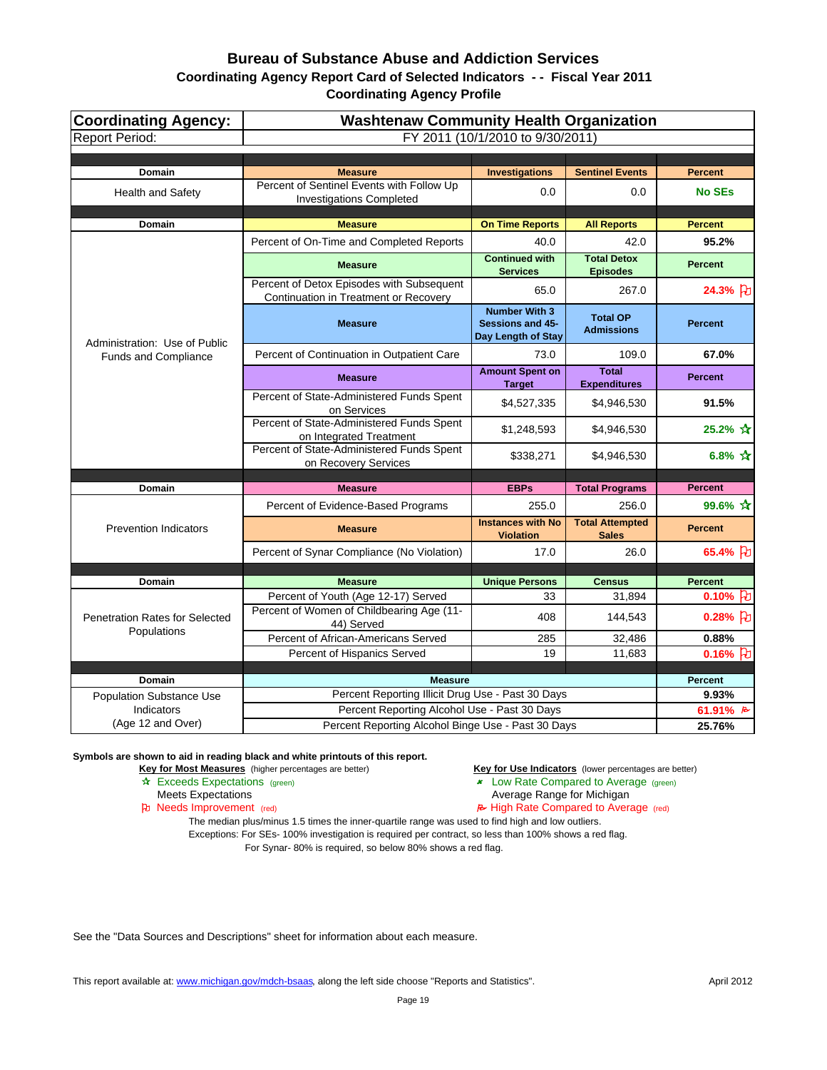| <b>Coordinating Agency:</b><br><b>Report Period:</b> | <b>Washtenaw Community Health Organization</b><br>FY 2011 (10/1/2010 to 9/30/2011) |                                                                |                                        |                                          |
|------------------------------------------------------|------------------------------------------------------------------------------------|----------------------------------------------------------------|----------------------------------------|------------------------------------------|
|                                                      |                                                                                    |                                                                |                                        |                                          |
| <b>Domain</b>                                        | <b>Measure</b>                                                                     | <b>Investigations</b>                                          | <b>Sentinel Events</b>                 | <b>Percent</b>                           |
| <b>Health and Safety</b>                             | Percent of Sentinel Events with Follow Up<br><b>Investigations Completed</b>       | 0.0                                                            | 0.0                                    | <b>No SEs</b>                            |
| Domain                                               | <b>Measure</b>                                                                     | <b>On Time Reports</b>                                         | <b>All Reports</b>                     | <b>Percent</b>                           |
|                                                      | Percent of On-Time and Completed Reports                                           | 40.0                                                           | 42.0                                   | 95.2%                                    |
|                                                      | <b>Measure</b>                                                                     | <b>Continued with</b><br><b>Services</b>                       | <b>Total Detox</b><br><b>Episodes</b>  | <b>Percent</b>                           |
|                                                      | Percent of Detox Episodes with Subsequent<br>Continuation in Treatment or Recovery | 65.0                                                           | 267.0                                  | 24.3% 7                                  |
| Administration: Use of Public                        | <b>Measure</b>                                                                     | <b>Number With 3</b><br>Sessions and 45-<br>Day Length of Stay | <b>Total OP</b><br><b>Admissions</b>   | <b>Percent</b>                           |
| Funds and Compliance                                 | Percent of Continuation in Outpatient Care                                         | 73.0                                                           | 109.0                                  | 67.0%                                    |
|                                                      | <b>Measure</b>                                                                     | <b>Amount Spent on</b><br><b>Target</b>                        | <b>Total</b><br><b>Expenditures</b>    | <b>Percent</b>                           |
|                                                      | Percent of State-Administered Funds Spent<br>on Services                           | \$4,527,335                                                    | \$4,946,530                            | 91.5%                                    |
|                                                      | Percent of State-Administered Funds Spent<br>on Integrated Treatment               | \$1,248,593                                                    | \$4,946,530                            | 25.2% ☆                                  |
|                                                      | Percent of State-Administered Funds Spent<br>on Recovery Services                  | \$338,271                                                      | \$4,946,530                            | 6.8% $\mathbf{\hat{x}}$                  |
|                                                      |                                                                                    |                                                                |                                        | <b>Percent</b>                           |
| Domain                                               | <b>Measure</b>                                                                     | <b>EBPs</b>                                                    | <b>Total Programs</b>                  |                                          |
|                                                      | Percent of Evidence-Based Programs                                                 | 255.0                                                          | 256.0                                  | 99.6% $\star$                            |
| <b>Prevention Indicators</b>                         | <b>Measure</b>                                                                     | <b>Instances with No</b><br><b>Violation</b>                   | <b>Total Attempted</b><br><b>Sales</b> | <b>Percent</b>                           |
|                                                      | Percent of Synar Compliance (No Violation)                                         | 17.0                                                           | 26.0                                   | 65.4% }                                  |
|                                                      |                                                                                    |                                                                |                                        |                                          |
| <b>Domain</b>                                        | <b>Measure</b>                                                                     | <b>Unique Persons</b>                                          | <b>Census</b>                          | <b>Percent</b>                           |
| <b>Penetration Rates for Selected</b>                | Percent of Youth (Age 12-17) Served<br>Percent of Women of Childbearing Age (11-   | 33<br>408                                                      | 31,894<br>144,543                      | $0.10%$ <sub>[</sub> D]<br>$0.28%$ $ E $ |
| Populations                                          | 44) Served<br>Percent of African-Americans Served                                  | 285                                                            | 32,486                                 | 0.88%                                    |
|                                                      | Percent of Hispanics Served                                                        | 19                                                             | 11,683                                 | 0.16% $\bm{\beta}$                       |
|                                                      |                                                                                    |                                                                |                                        |                                          |
| <b>Domain</b>                                        | <b>Measure</b>                                                                     |                                                                |                                        | <b>Percent</b>                           |
| <b>Population Substance Use</b>                      | Percent Reporting Illicit Drug Use - Past 30 Days                                  |                                                                |                                        | 9.93%                                    |
| Indicators<br>(Age 12 and Over)                      | Percent Reporting Alcohol Use - Past 30 Days                                       |                                                                |                                        | 61.91% A<br>25.76%                       |
|                                                      | Percent Reporting Alcohol Binge Use - Past 30 Days                                 |                                                                |                                        |                                          |

**Symbols are shown to aid in reading black and white printouts of this report.**

**Key for Most Measures** (higher percentages are better) **Key for Use Indicators** (lower percentages are better)

- 
- Exceeds Expectations (green) Low Rate Compared to Average (green)
	- Meets Expectations **Average Range for Michigan**
- Needs Improvement (red) High Rate Compared to Average (red)

The median plus/minus 1.5 times the inner-quartile range was used to find high and low outliers. Exceptions: For SEs- 100% investigation is required per contract, so less than 100% shows a red flag. For Synar- 80% is required, so below 80% shows a red flag.